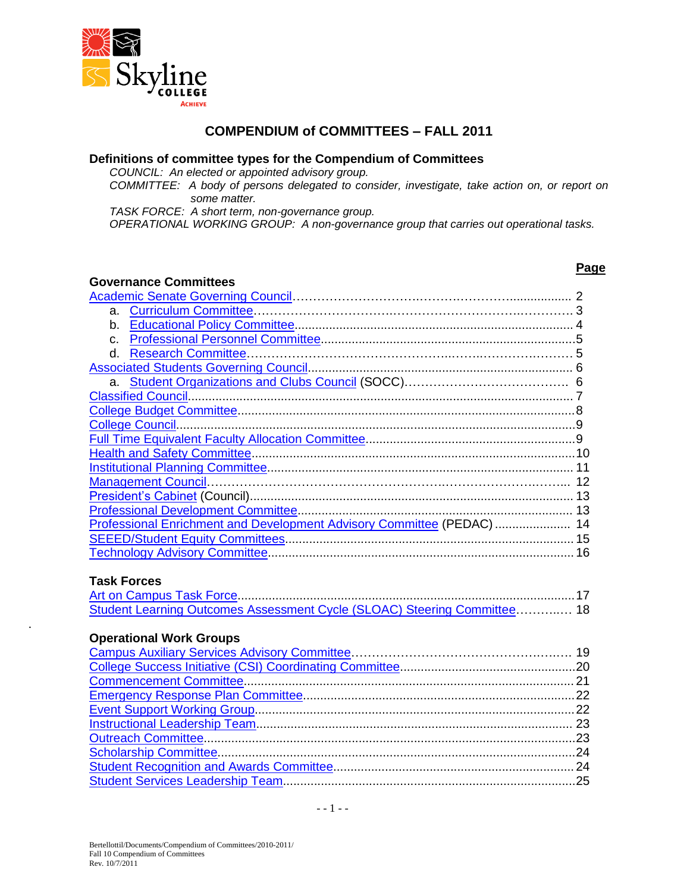

#### **COMPENDIUM of COMMITTEES – FALL 2011**

#### **Definitions of committee types for the Compendium of Committees**

*COUNCIL: An elected or appointed advisory group.*

*COMMITTEE: A body of persons delegated to consider, investigate, take action on, or report on some matter.*

**Page**

*TASK FORCE: A short term, non-governance group.*

*OPERATIONAL WORKING GROUP: A non-governance group that carries out operational tasks.*

#### **Governance Committees**

| a. |                                                                          |    |
|----|--------------------------------------------------------------------------|----|
| b. |                                                                          |    |
| C. |                                                                          |    |
| d. |                                                                          |    |
|    |                                                                          |    |
|    |                                                                          |    |
|    |                                                                          |    |
|    |                                                                          |    |
|    |                                                                          |    |
|    |                                                                          |    |
|    |                                                                          |    |
|    |                                                                          |    |
|    |                                                                          |    |
|    |                                                                          | 13 |
|    |                                                                          |    |
|    | Professional Enrichment and Development Advisory Committee (PEDAC)  14   |    |
|    |                                                                          |    |
|    |                                                                          |    |
|    |                                                                          |    |
|    | <b>Task Forces</b>                                                       |    |
|    |                                                                          |    |
|    | Student Learning Outcomes Assessment Cycle (SLOAC) Steering Committee 18 |    |
|    |                                                                          |    |

#### **Operational Work Groups**

.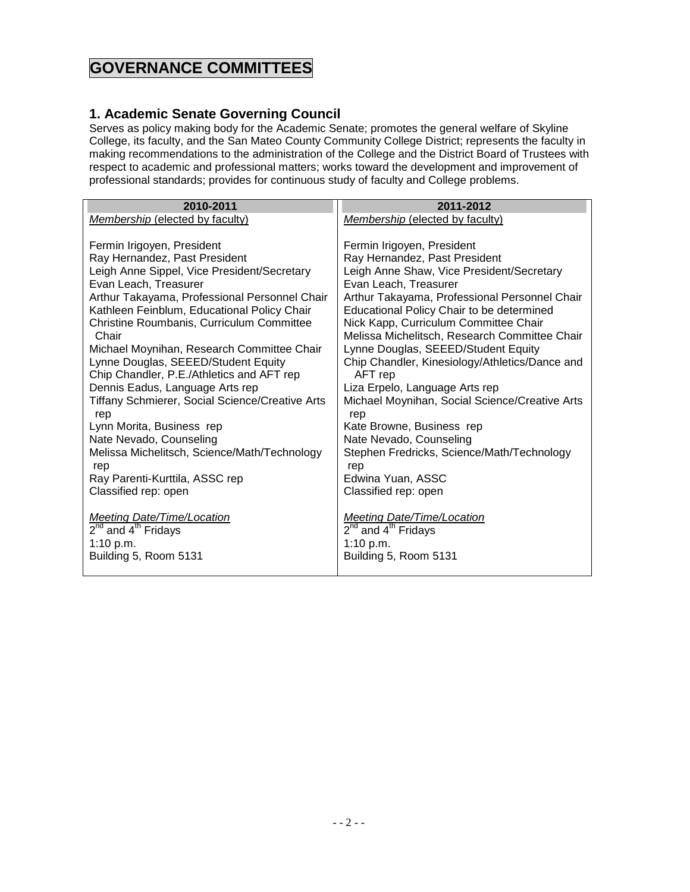## **GOVERNANCE COMMITTEES**

#### <span id="page-1-0"></span>**1. Academic Senate Governing Council**

Serves as policy making body for the Academic Senate; promotes the general welfare of Skyline College, its faculty, and the San Mateo County Community College District; represents the faculty in making recommendations to the administration of the College and the District Board of Trustees with respect to academic and professional matters; works toward the development and improvement of professional standards; provides for continuous study of faculty and College problems.

| 2010-2011                                                                                                                                                                                                                                                                                                                                                                                                                                                                                                                                                                                | 2011-2012                                                                                                                                                                                                                                                                                                                                                                                                                                                                                                                                                                                |
|------------------------------------------------------------------------------------------------------------------------------------------------------------------------------------------------------------------------------------------------------------------------------------------------------------------------------------------------------------------------------------------------------------------------------------------------------------------------------------------------------------------------------------------------------------------------------------------|------------------------------------------------------------------------------------------------------------------------------------------------------------------------------------------------------------------------------------------------------------------------------------------------------------------------------------------------------------------------------------------------------------------------------------------------------------------------------------------------------------------------------------------------------------------------------------------|
|                                                                                                                                                                                                                                                                                                                                                                                                                                                                                                                                                                                          |                                                                                                                                                                                                                                                                                                                                                                                                                                                                                                                                                                                          |
|                                                                                                                                                                                                                                                                                                                                                                                                                                                                                                                                                                                          |                                                                                                                                                                                                                                                                                                                                                                                                                                                                                                                                                                                          |
| Membership (elected by faculty)<br>Fermin Irigoyen, President<br>Ray Hernandez, Past President<br>Leigh Anne Sippel, Vice President/Secretary<br>Evan Leach, Treasurer<br>Arthur Takayama, Professional Personnel Chair<br>Kathleen Feinblum, Educational Policy Chair<br>Christine Roumbanis, Curriculum Committee<br>Chair<br>Michael Moynihan, Research Committee Chair<br>Lynne Douglas, SEEED/Student Equity<br>Chip Chandler, P.E./Athletics and AFT rep<br>Dennis Eadus, Language Arts rep<br>Tiffany Schmierer, Social Science/Creative Arts<br>rep<br>Lynn Morita, Business rep | Membership (elected by faculty)<br>Fermin Irigoyen, President<br>Ray Hernandez, Past President<br>Leigh Anne Shaw, Vice President/Secretary<br>Evan Leach, Treasurer<br>Arthur Takayama, Professional Personnel Chair<br>Educational Policy Chair to be determined<br>Nick Kapp, Curriculum Committee Chair<br>Melissa Michelitsch, Research Committee Chair<br>Lynne Douglas, SEEED/Student Equity<br>Chip Chandler, Kinesiology/Athletics/Dance and<br>AFT rep<br>Liza Erpelo, Language Arts rep<br>Michael Moynihan, Social Science/Creative Arts<br>rep<br>Kate Browne, Business rep |
| Nate Nevado, Counseling                                                                                                                                                                                                                                                                                                                                                                                                                                                                                                                                                                  | Nate Nevado, Counseling                                                                                                                                                                                                                                                                                                                                                                                                                                                                                                                                                                  |
| Melissa Michelitsch, Science/Math/Technology<br>rep                                                                                                                                                                                                                                                                                                                                                                                                                                                                                                                                      | Stephen Fredricks, Science/Math/Technology<br>rep                                                                                                                                                                                                                                                                                                                                                                                                                                                                                                                                        |
| Ray Parenti-Kurttila, ASSC rep                                                                                                                                                                                                                                                                                                                                                                                                                                                                                                                                                           | Edwina Yuan, ASSC                                                                                                                                                                                                                                                                                                                                                                                                                                                                                                                                                                        |
| Classified rep: open                                                                                                                                                                                                                                                                                                                                                                                                                                                                                                                                                                     | Classified rep: open                                                                                                                                                                                                                                                                                                                                                                                                                                                                                                                                                                     |
| <b>Meeting Date/Time/Location</b><br>$2^{nd}$ and $4^{th}$ Fridays<br>1:10 p.m.<br>Building 5, Room 5131                                                                                                                                                                                                                                                                                                                                                                                                                                                                                 | <b>Meeting Date/Time/Location</b><br>$2^{nd}$ and $4^{th}$ Fridays<br>1:10 $p.m.$<br>Building 5, Room 5131                                                                                                                                                                                                                                                                                                                                                                                                                                                                               |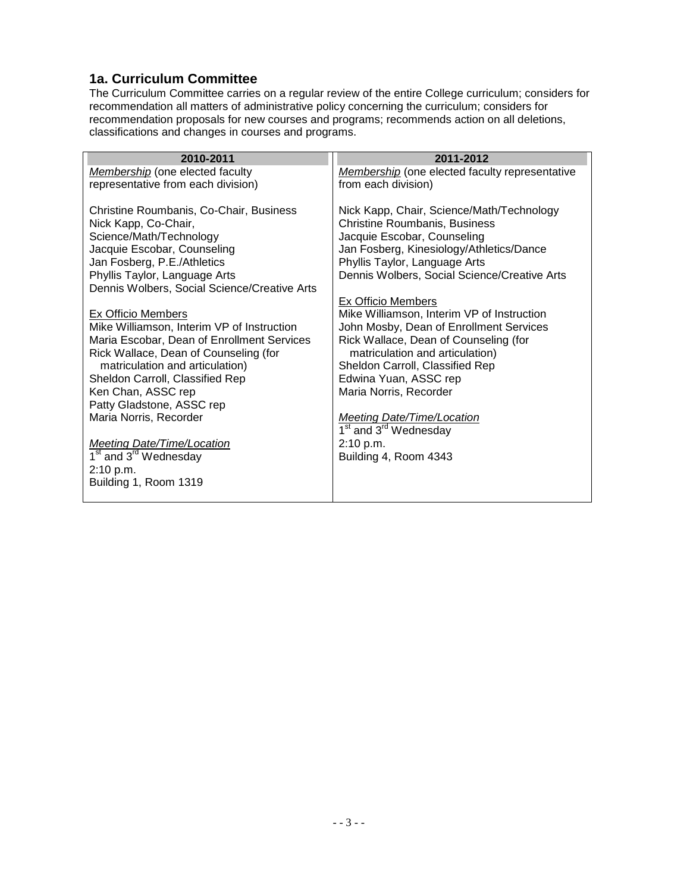#### <span id="page-2-0"></span>**1a. Curriculum Committee**

The Curriculum Committee carries on a regular review of the entire College curriculum; considers for recommendation all matters of administrative policy concerning the curriculum; considers for recommendation proposals for new courses and programs; recommends action on all deletions, classifications and changes in courses and programs.

| 2010-2011                                                                | 2011-2012                                                |
|--------------------------------------------------------------------------|----------------------------------------------------------|
| Membership (one elected faculty                                          | <b>Membership</b> (one elected faculty representative    |
| representative from each division)                                       | from each division)                                      |
| Christine Roumbanis, Co-Chair, Business                                  | Nick Kapp, Chair, Science/Math/Technology                |
| Nick Kapp, Co-Chair,                                                     | <b>Christine Roumbanis, Business</b>                     |
| Science/Math/Technology                                                  | Jacquie Escobar, Counseling                              |
| Jacquie Escobar, Counseling                                              | Jan Fosberg, Kinesiology/Athletics/Dance                 |
| Jan Fosberg, P.E./Athletics                                              | Phyllis Taylor, Language Arts                            |
| Phyllis Taylor, Language Arts                                            | Dennis Wolbers, Social Science/Creative Arts             |
| Dennis Wolbers, Social Science/Creative Arts                             |                                                          |
|                                                                          | <b>Ex Officio Members</b>                                |
| <b>Ex Officio Members</b>                                                | Mike Williamson, Interim VP of Instruction               |
| Mike Williamson, Interim VP of Instruction                               | John Mosby, Dean of Enrollment Services                  |
| Maria Escobar, Dean of Enrollment Services                               | Rick Wallace, Dean of Counseling (for                    |
| Rick Wallace, Dean of Counseling (for<br>matriculation and articulation) | matriculation and articulation)                          |
| Sheldon Carroll, Classified Rep                                          | Sheldon Carroll, Classified Rep<br>Edwina Yuan, ASSC rep |
| Ken Chan, ASSC rep                                                       | Maria Norris, Recorder                                   |
| Patty Gladstone, ASSC rep                                                |                                                          |
| Maria Norris, Recorder                                                   | <b>Meeting Date/Time/Location</b>                        |
|                                                                          | $\overline{1^{st}}$ and $3^{rd}$ Wednesday               |
| <b>Meeting Date/Time/Location</b>                                        | 2:10 p.m.                                                |
| 1 <sup>st</sup> and 3 <sup>rd</sup> Wednesday                            | Building 4, Room 4343                                    |
| 2:10 p.m.                                                                |                                                          |
| Building 1, Room 1319                                                    |                                                          |
|                                                                          |                                                          |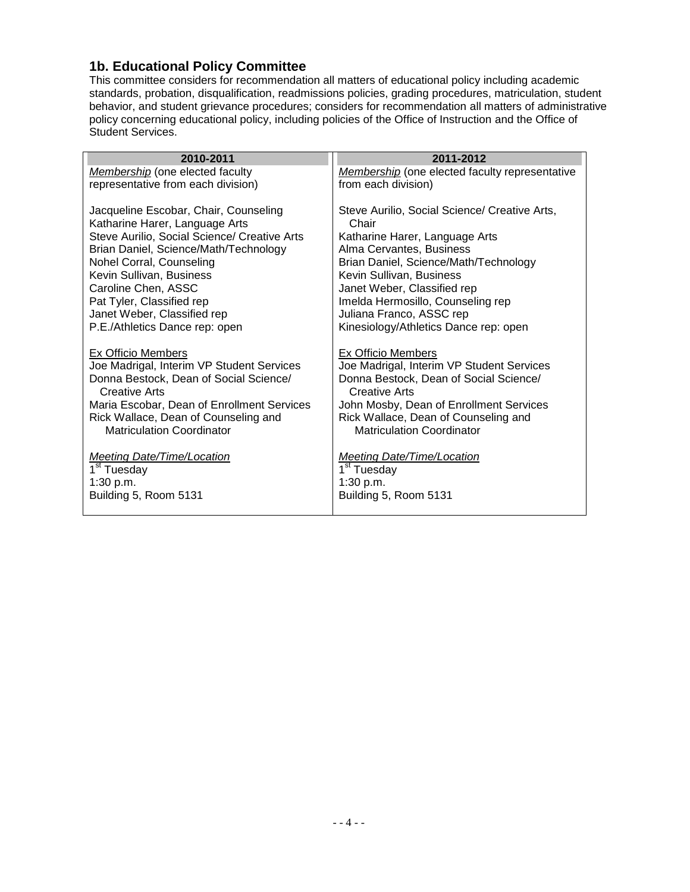## <span id="page-3-0"></span>**1b. Educational Policy Committee**

This committee considers for recommendation all matters of educational policy including academic standards, probation, disqualification, readmissions policies, grading procedures, matriculation, student behavior, and student grievance procedures; considers for recommendation all matters of administrative policy concerning educational policy, including policies of the Office of Instruction and the Office of Student Services.

| 2010-2011                                                                                                                                                                                                                                                          | 2011-2012                                                                                                                                                                                                                                         |
|--------------------------------------------------------------------------------------------------------------------------------------------------------------------------------------------------------------------------------------------------------------------|---------------------------------------------------------------------------------------------------------------------------------------------------------------------------------------------------------------------------------------------------|
| Membership (one elected faculty                                                                                                                                                                                                                                    | Membership (one elected faculty representative                                                                                                                                                                                                    |
| representative from each division)                                                                                                                                                                                                                                 | from each division)                                                                                                                                                                                                                               |
| Jacqueline Escobar, Chair, Counseling<br>Katharine Harer, Language Arts                                                                                                                                                                                            | Steve Aurilio, Social Science/ Creative Arts,<br>Chair                                                                                                                                                                                            |
| Steve Aurilio, Social Science/ Creative Arts                                                                                                                                                                                                                       | Katharine Harer, Language Arts                                                                                                                                                                                                                    |
| Brian Daniel, Science/Math/Technology<br>Nohel Corral, Counseling                                                                                                                                                                                                  | Alma Cervantes, Business<br>Brian Daniel, Science/Math/Technology                                                                                                                                                                                 |
| Kevin Sullivan, Business                                                                                                                                                                                                                                           | Kevin Sullivan, Business                                                                                                                                                                                                                          |
| Caroline Chen, ASSC                                                                                                                                                                                                                                                | Janet Weber, Classified rep                                                                                                                                                                                                                       |
| Pat Tyler, Classified rep                                                                                                                                                                                                                                          | Imelda Hermosillo, Counseling rep                                                                                                                                                                                                                 |
| Janet Weber, Classified rep                                                                                                                                                                                                                                        | Juliana Franco, ASSC rep                                                                                                                                                                                                                          |
| P.E./Athletics Dance rep: open                                                                                                                                                                                                                                     | Kinesiology/Athletics Dance rep: open                                                                                                                                                                                                             |
| <b>Ex Officio Members</b><br>Joe Madrigal, Interim VP Student Services<br>Donna Bestock, Dean of Social Science/<br><b>Creative Arts</b><br>Maria Escobar, Dean of Enrollment Services<br>Rick Wallace, Dean of Counseling and<br><b>Matriculation Coordinator</b> | Ex Officio Members<br>Joe Madrigal, Interim VP Student Services<br>Donna Bestock, Dean of Social Science/<br>Creative Arts<br>John Mosby, Dean of Enrollment Services<br>Rick Wallace, Dean of Counseling and<br><b>Matriculation Coordinator</b> |
| <b>Meeting Date/Time/Location</b><br>1 <sup>st</sup> Tuesday                                                                                                                                                                                                       | <b>Meeting Date/Time/Location</b><br>1 <sup>st</sup> Tuesday                                                                                                                                                                                      |
| 1:30 p.m.                                                                                                                                                                                                                                                          | 1:30 p.m.                                                                                                                                                                                                                                         |
| Building 5, Room 5131                                                                                                                                                                                                                                              | Building 5, Room 5131                                                                                                                                                                                                                             |
|                                                                                                                                                                                                                                                                    |                                                                                                                                                                                                                                                   |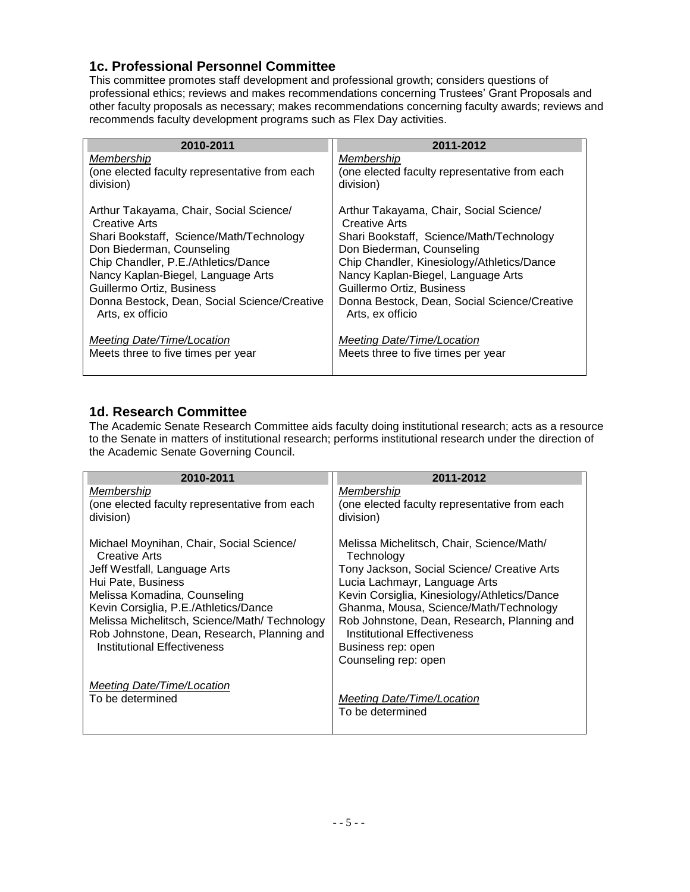### <span id="page-4-0"></span>**1c. Professional Personnel Committee**

This committee promotes staff development and professional growth; considers questions of professional ethics; reviews and makes recommendations concerning Trustees' Grant Proposals and other faculty proposals as necessary; makes recommendations concerning faculty awards; reviews and recommends faculty development programs such as Flex Day activities.

| 2010-2011                                                        | 2011-2012                                                        |
|------------------------------------------------------------------|------------------------------------------------------------------|
| Membership                                                       | Membership                                                       |
| (one elected faculty representative from each<br>division)       | (one elected faculty representative from each<br>division)       |
| Arthur Takayama, Chair, Social Science/<br><b>Creative Arts</b>  | Arthur Takayama, Chair, Social Science/<br>Creative Arts         |
| Shari Bookstaff, Science/Math/Technology                         | Shari Bookstaff, Science/Math/Technology                         |
| Don Biederman, Counseling                                        | Don Biederman, Counseling                                        |
| Chip Chandler, P.E./Athletics/Dance                              | Chip Chandler, Kinesiology/Athletics/Dance                       |
| Nancy Kaplan-Biegel, Language Arts                               | Nancy Kaplan-Biegel, Language Arts                               |
| Guillermo Ortiz, Business                                        | Guillermo Ortiz, Business                                        |
| Donna Bestock, Dean, Social Science/Creative<br>Arts, ex officio | Donna Bestock, Dean, Social Science/Creative<br>Arts, ex officio |
| Meeting Date/Time/Location                                       | Meeting Date/Time/Location                                       |
| Meets three to five times per year                               | Meets three to five times per year                               |

#### <span id="page-4-1"></span>**1d. Research Committee**

The Academic Senate Research Committee aids faculty doing institutional research; acts as a resource to the Senate in matters of institutional research; performs institutional research under the direction of the Academic Senate Governing Council.

| 2010-2011                                                                                                                                                                                                                                                                                                                     | 2011-2012                                                                                                                                                                                                                                                                                                                                                            |
|-------------------------------------------------------------------------------------------------------------------------------------------------------------------------------------------------------------------------------------------------------------------------------------------------------------------------------|----------------------------------------------------------------------------------------------------------------------------------------------------------------------------------------------------------------------------------------------------------------------------------------------------------------------------------------------------------------------|
| Membership                                                                                                                                                                                                                                                                                                                    | Membership                                                                                                                                                                                                                                                                                                                                                           |
| (one elected faculty representative from each                                                                                                                                                                                                                                                                                 | (one elected faculty representative from each                                                                                                                                                                                                                                                                                                                        |
| division)                                                                                                                                                                                                                                                                                                                     | division)                                                                                                                                                                                                                                                                                                                                                            |
| Michael Moynihan, Chair, Social Science/<br><b>Creative Arts</b><br>Jeff Westfall, Language Arts<br>Hui Pate, Business<br>Melissa Komadina, Counseling<br>Kevin Corsiglia, P.E./Athletics/Dance<br>Melissa Michelitsch, Science/Math/Technology<br>Rob Johnstone, Dean, Research, Planning and<br>Institutional Effectiveness | Melissa Michelitsch, Chair, Science/Math/<br>Technology<br>Tony Jackson, Social Science/ Creative Arts<br>Lucia Lachmayr, Language Arts<br>Kevin Corsiglia, Kinesiology/Athletics/Dance<br>Ghanma, Mousa, Science/Math/Technology<br>Rob Johnstone, Dean, Research, Planning and<br><b>Institutional Effectiveness</b><br>Business rep: open<br>Counseling rep: open |
| <b>Meeting Date/Time/Location</b><br>To be determined                                                                                                                                                                                                                                                                         | Meeting Date/Time/Location                                                                                                                                                                                                                                                                                                                                           |
|                                                                                                                                                                                                                                                                                                                               | To be determined                                                                                                                                                                                                                                                                                                                                                     |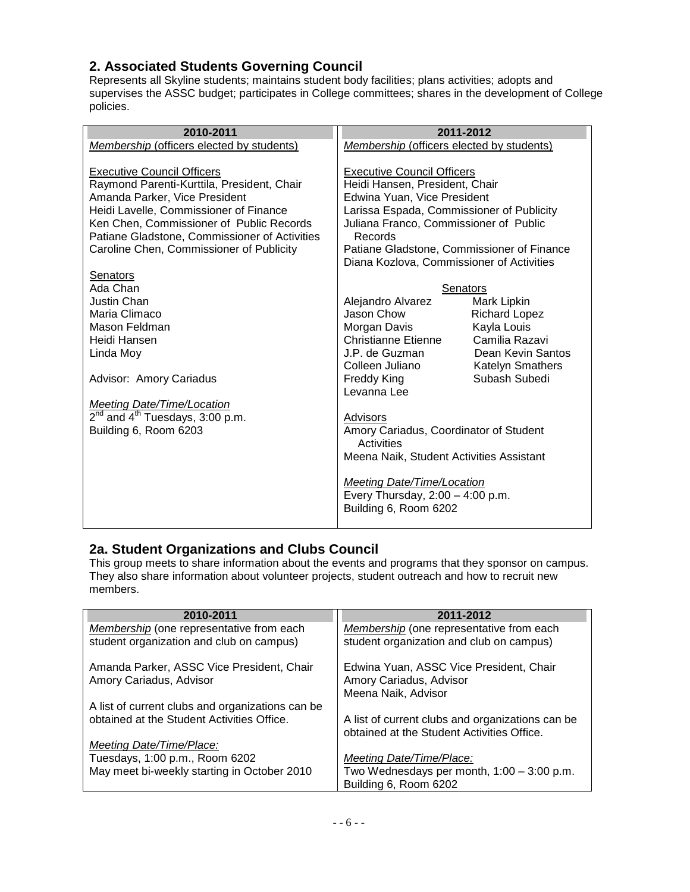## <span id="page-5-0"></span>**2. Associated Students Governing Council**

Represents all Skyline students; maintains student body facilities; plans activities; adopts and supervises the ASSC budget; participates in College committees; shares in the development of College policies.

| 2010-2011                                                                                 | 2011-2012                                         |                         |
|-------------------------------------------------------------------------------------------|---------------------------------------------------|-------------------------|
| Membership (officers elected by students)                                                 | Membership (officers elected by students)         |                         |
| <b>Executive Council Officers</b>                                                         | <b>Executive Council Officers</b>                 |                         |
| Raymond Parenti-Kurttila, President, Chair                                                | Heidi Hansen, President, Chair                    |                         |
| Amanda Parker, Vice President                                                             | Edwina Yuan, Vice President                       |                         |
| Heidi Lavelle, Commissioner of Finance                                                    | Larissa Espada, Commissioner of Publicity         |                         |
| Ken Chen, Commissioner of Public Records<br>Patiane Gladstone, Commissioner of Activities | Juliana Franco, Commissioner of Public<br>Records |                         |
| Caroline Chen, Commissioner of Publicity                                                  | Patiane Gladstone, Commissioner of Finance        |                         |
|                                                                                           | Diana Kozlova, Commissioner of Activities         |                         |
| Senators                                                                                  |                                                   |                         |
| Ada Chan                                                                                  | Senators                                          |                         |
| Justin Chan                                                                               | Alejandro Alvarez                                 | Mark Lipkin             |
| Maria Climaco                                                                             | Jason Chow                                        | <b>Richard Lopez</b>    |
| Mason Feldman                                                                             | Morgan Davis                                      | Kayla Louis             |
| Heidi Hansen                                                                              | Christianne Etienne                               | Camilia Razavi          |
| Linda Moy                                                                                 | J.P. de Guzman                                    | Dean Kevin Santos       |
|                                                                                           | Colleen Juliano                                   | <b>Katelyn Smathers</b> |
| Advisor: Amory Cariadus                                                                   | Freddy King<br>Levanna Lee                        | Subash Subedi           |
| <b>Meeting Date/Time/Location</b>                                                         |                                                   |                         |
| $2nd$ and $4th$ Tuesdays, 3:00 p.m.                                                       | Advisors                                          |                         |
| Building 6, Room 6203                                                                     | Amory Cariadus, Coordinator of Student            |                         |
|                                                                                           | Activities                                        |                         |
|                                                                                           | Meena Naik, Student Activities Assistant          |                         |
|                                                                                           |                                                   |                         |
|                                                                                           | Meeting Date/Time/Location                        |                         |
|                                                                                           | Every Thursday, $2:00 - 4:00$ p.m.                |                         |
|                                                                                           | Building 6, Room 6202                             |                         |
|                                                                                           |                                                   |                         |

#### <span id="page-5-1"></span>**2a. Student Organizations and Clubs Council**

This group meets to share information about the events and programs that they sponsor on campus. They also share information about volunteer projects, student outreach and how to recruit new members.

| 2010-2011                                        | 2011-2012                                                                                      |
|--------------------------------------------------|------------------------------------------------------------------------------------------------|
| Membership (one representative from each         | Membership (one representative from each                                                       |
| student organization and club on campus)         | student organization and club on campus)                                                       |
|                                                  |                                                                                                |
| Amanda Parker, ASSC Vice President, Chair        | Edwina Yuan, ASSC Vice President, Chair                                                        |
| Amory Cariadus, Advisor                          | Amory Cariadus, Advisor                                                                        |
|                                                  | Meena Naik, Advisor                                                                            |
| A list of current clubs and organizations can be |                                                                                                |
| obtained at the Student Activities Office.       |                                                                                                |
|                                                  | A list of current clubs and organizations can be<br>obtained at the Student Activities Office. |
|                                                  |                                                                                                |
| Meeting Date/Time/Place:                         |                                                                                                |
| Tuesdays, 1:00 p.m., Room 6202                   | Meeting Date/Time/Place:                                                                       |
| May meet bi-weekly starting in October 2010      | Two Wednesdays per month, $1:00 - 3:00$ p.m.                                                   |
|                                                  | Building 6, Room 6202                                                                          |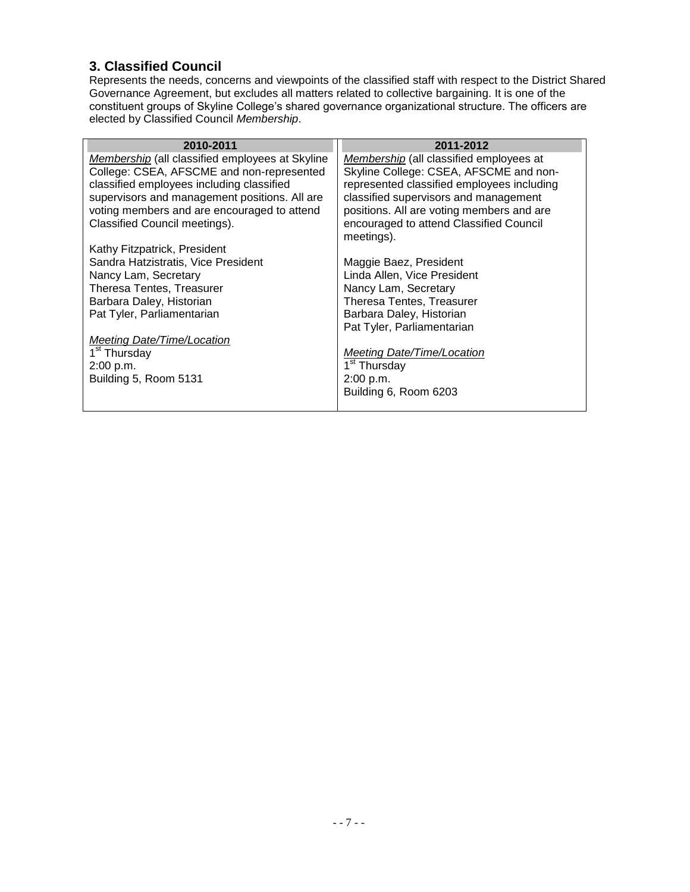## <span id="page-6-0"></span>**3. Classified Council**

Represents the needs, concerns and viewpoints of the classified staff with respect to the District Shared Governance Agreement, but excludes all matters related to collective bargaining. It is one of the constituent groups of Skyline College's shared governance organizational structure. The officers are elected by Classified Council *Membership*.

| 2010-2011                                       | 2011-2012                                      |
|-------------------------------------------------|------------------------------------------------|
| Membership (all classified employees at Skyline | <i>Membership</i> (all classified employees at |
| College: CSEA, AFSCME and non-represented       | Skyline College: CSEA, AFSCME and non-         |
| classified employees including classified       | represented classified employees including     |
| supervisors and management positions. All are   | classified supervisors and management          |
| voting members and are encouraged to attend     | positions. All are voting members and are      |
| Classified Council meetings).                   | encouraged to attend Classified Council        |
|                                                 | meetings).                                     |
| Kathy Fitzpatrick, President                    |                                                |
| Sandra Hatzistratis, Vice President             | Maggie Baez, President                         |
| Nancy Lam, Secretary                            | Linda Allen, Vice President                    |
| Theresa Tentes, Treasurer                       | Nancy Lam, Secretary                           |
| Barbara Daley, Historian                        | Theresa Tentes, Treasurer                      |
| Pat Tyler, Parliamentarian                      | Barbara Daley, Historian                       |
|                                                 | Pat Tyler, Parliamentarian                     |
| Meeting Date/Time/Location                      |                                                |
| 1 <sup>st</sup> Thursday                        | <b>Meeting Date/Time/Location</b>              |
| 2:00 p.m.                                       | 1 <sup>st</sup> Thursday                       |
| Building 5, Room 5131                           | 2:00 p.m.                                      |
|                                                 | Building 6, Room 6203                          |
|                                                 |                                                |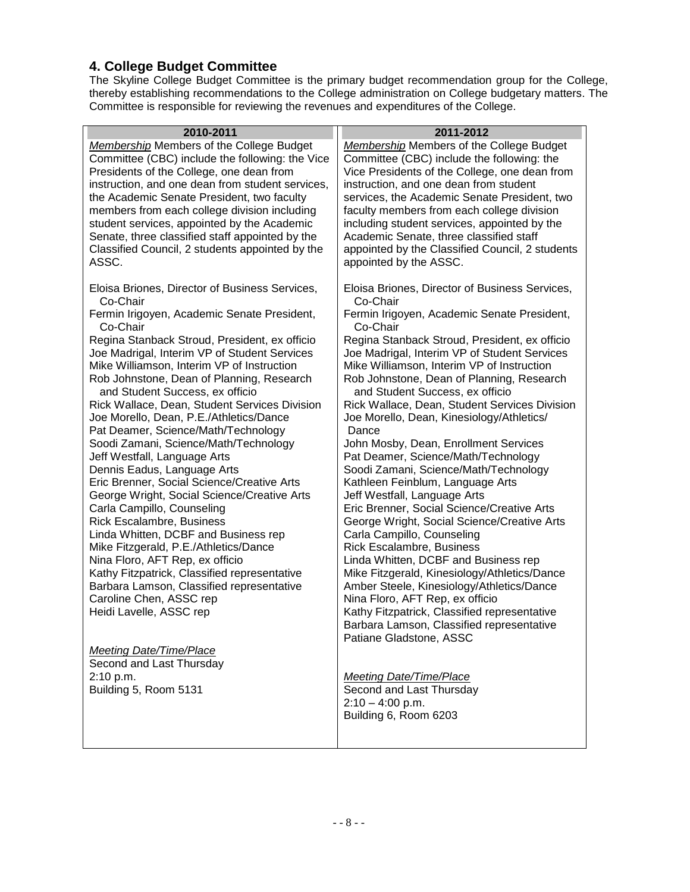## <span id="page-7-0"></span>**4. College Budget Committee**

The Skyline College Budget Committee is the primary budget recommendation group for the College, thereby establishing recommendations to the College administration on College budgetary matters. The Committee is responsible for reviewing the revenues and expenditures of the College.

| 2010-2011                                                                    | 2011-2012                                                            |
|------------------------------------------------------------------------------|----------------------------------------------------------------------|
| <b>Membership Members of the College Budget</b>                              | <b>Membership Members of the College Budget</b>                      |
| Committee (CBC) include the following: the Vice                              | Committee (CBC) include the following: the                           |
| Presidents of the College, one dean from                                     | Vice Presidents of the College, one dean from                        |
| instruction, and one dean from student services,                             | instruction, and one dean from student                               |
| the Academic Senate President, two faculty                                   | services, the Academic Senate President, two                         |
| members from each college division including                                 | faculty members from each college division                           |
| student services, appointed by the Academic                                  | including student services, appointed by the                         |
| Senate, three classified staff appointed by the                              | Academic Senate, three classified staff                              |
| Classified Council, 2 students appointed by the                              | appointed by the Classified Council, 2 students                      |
| ASSC.                                                                        | appointed by the ASSC.                                               |
| Eloisa Briones, Director of Business Services,<br>Co-Chair                   | Eloisa Briones, Director of Business Services,<br>Co-Chair           |
| Fermin Irigoyen, Academic Senate President,<br>Co-Chair                      | Fermin Irigoyen, Academic Senate President,<br>Co-Chair              |
| Regina Stanback Stroud, President, ex officio                                | Regina Stanback Stroud, President, ex officio                        |
| Joe Madrigal, Interim VP of Student Services                                 | Joe Madrigal, Interim VP of Student Services                         |
| Mike Williamson, Interim VP of Instruction                                   | Mike Williamson, Interim VP of Instruction                           |
| Rob Johnstone, Dean of Planning, Research                                    | Rob Johnstone, Dean of Planning, Research                            |
| and Student Success, ex officio                                              | and Student Success, ex officio                                      |
| Rick Wallace, Dean, Student Services Division                                | Rick Wallace, Dean, Student Services Division                        |
| Joe Morello, Dean, P.E./Athletics/Dance                                      | Joe Morello, Dean, Kinesiology/Athletics/                            |
| Pat Deamer, Science/Math/Technology<br>Soodi Zamani, Science/Math/Technology | Dance<br>John Mosby, Dean, Enrollment Services                       |
| Jeff Westfall, Language Arts                                                 | Pat Deamer, Science/Math/Technology                                  |
| Dennis Eadus, Language Arts                                                  | Soodi Zamani, Science/Math/Technology                                |
| Eric Brenner, Social Science/Creative Arts                                   | Kathleen Feinblum, Language Arts                                     |
| George Wright, Social Science/Creative Arts                                  | Jeff Westfall, Language Arts                                         |
| Carla Campillo, Counseling                                                   | Eric Brenner, Social Science/Creative Arts                           |
| <b>Rick Escalambre, Business</b>                                             | George Wright, Social Science/Creative Arts                          |
| Linda Whitten, DCBF and Business rep                                         | Carla Campillo, Counseling                                           |
| Mike Fitzgerald, P.E./Athletics/Dance                                        | <b>Rick Escalambre, Business</b>                                     |
| Nina Floro, AFT Rep, ex officio                                              | Linda Whitten, DCBF and Business rep                                 |
| Kathy Fitzpatrick, Classified representative                                 | Mike Fitzgerald, Kinesiology/Athletics/Dance                         |
| Barbara Lamson, Classified representative                                    | Amber Steele, Kinesiology/Athletics/Dance                            |
| Caroline Chen, ASSC rep                                                      | Nina Floro, AFT Rep, ex officio                                      |
| Heidi Lavelle, ASSC rep                                                      | Kathy Fitzpatrick, Classified representative                         |
|                                                                              | Barbara Lamson, Classified representative<br>Patiane Gladstone, ASSC |
| <b>Meeting Date/Time/Place</b>                                               |                                                                      |
| Second and Last Thursday                                                     |                                                                      |
| 2:10 p.m.                                                                    | <b>Meeting Date/Time/Place</b>                                       |
| Building 5, Room 5131                                                        | Second and Last Thursday                                             |
|                                                                              | $2:10 - 4:00$ p.m.                                                   |

Building 6, Room 6203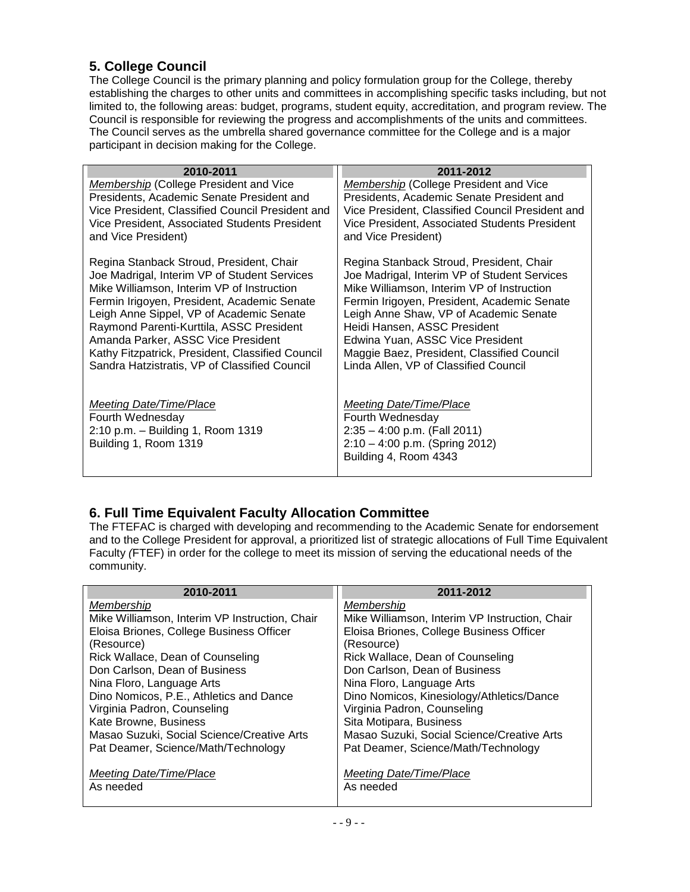## <span id="page-8-0"></span>**5. College Council**

The College Council is the primary planning and policy formulation group for the College, thereby establishing the charges to other units and committees in accomplishing specific tasks including, but not limited to, the following areas: budget, programs, student equity, accreditation, and program review. The Council is responsible for reviewing the progress and accomplishments of the units and committees. The Council serves as the umbrella shared governance committee for the College and is a major participant in decision making for the College.

| 2010-2011                                                                                                 | 2011-2012                                                                                                                                         |
|-----------------------------------------------------------------------------------------------------------|---------------------------------------------------------------------------------------------------------------------------------------------------|
| Membership (College President and Vice                                                                    | <b>Membership (College President and Vice</b>                                                                                                     |
| Presidents, Academic Senate President and                                                                 | Presidents, Academic Senate President and                                                                                                         |
| Vice President, Classified Council President and                                                          | Vice President, Classified Council President and                                                                                                  |
| Vice President, Associated Students President                                                             | Vice President, Associated Students President                                                                                                     |
| and Vice President)                                                                                       | and Vice President)                                                                                                                               |
| Regina Stanback Stroud, President, Chair                                                                  | Regina Stanback Stroud, President, Chair                                                                                                          |
| Joe Madrigal, Interim VP of Student Services                                                              | Joe Madrigal, Interim VP of Student Services                                                                                                      |
| Mike Williamson, Interim VP of Instruction                                                                | Mike Williamson, Interim VP of Instruction                                                                                                        |
| Fermin Irigoyen, President, Academic Senate                                                               | Fermin Irigoyen, President, Academic Senate                                                                                                       |
| Leigh Anne Sippel, VP of Academic Senate                                                                  | Leigh Anne Shaw, VP of Academic Senate                                                                                                            |
| Raymond Parenti-Kurttila, ASSC President                                                                  | Heidi Hansen, ASSC President                                                                                                                      |
| Amanda Parker, ASSC Vice President                                                                        | Edwina Yuan, ASSC Vice President                                                                                                                  |
| Kathy Fitzpatrick, President, Classified Council                                                          | Maggie Baez, President, Classified Council                                                                                                        |
| Sandra Hatzistratis, VP of Classified Council                                                             | Linda Allen, VP of Classified Council                                                                                                             |
| Meeting Date/Time/Place<br>Fourth Wednesday<br>2:10 p.m. - Building 1, Room 1319<br>Building 1, Room 1319 | <b>Meeting Date/Time/Place</b><br>Fourth Wednesday<br>$2:35 - 4:00$ p.m. (Fall 2011)<br>$2:10 - 4:00$ p.m. (Spring 2012)<br>Building 4, Room 4343 |

## <span id="page-8-1"></span>**6. Full Time Equivalent Faculty Allocation Committee**

The FTEFAC is charged with developing and recommending to the Academic Senate for endorsement and to the College President for approval, a prioritized list of strategic allocations of Full Time Equivalent Faculty *(*FTEF) in order for the college to meet its mission of serving the educational needs of the community.

| 2010-2011                                      | 2011-2012                                      |
|------------------------------------------------|------------------------------------------------|
| Membership                                     | Membership                                     |
| Mike Williamson, Interim VP Instruction, Chair | Mike Williamson, Interim VP Instruction, Chair |
| Eloisa Briones, College Business Officer       | Eloisa Briones, College Business Officer       |
| (Resource)                                     | (Resource)                                     |
| Rick Wallace, Dean of Counseling               | Rick Wallace, Dean of Counseling               |
| Don Carlson, Dean of Business                  | Don Carlson, Dean of Business                  |
| Nina Floro, Language Arts                      | Nina Floro, Language Arts                      |
| Dino Nomicos, P.E., Athletics and Dance        | Dino Nomicos, Kinesiology/Athletics/Dance      |
| Virginia Padron, Counseling                    | Virginia Padron, Counseling                    |
| Kate Browne, Business                          | Sita Motipara, Business                        |
| Masao Suzuki, Social Science/Creative Arts     | Masao Suzuki, Social Science/Creative Arts     |
| Pat Deamer, Science/Math/Technology            | Pat Deamer, Science/Math/Technology            |
| Meeting Date/Time/Place                        | Meeting Date/Time/Place                        |
| As needed                                      | As needed                                      |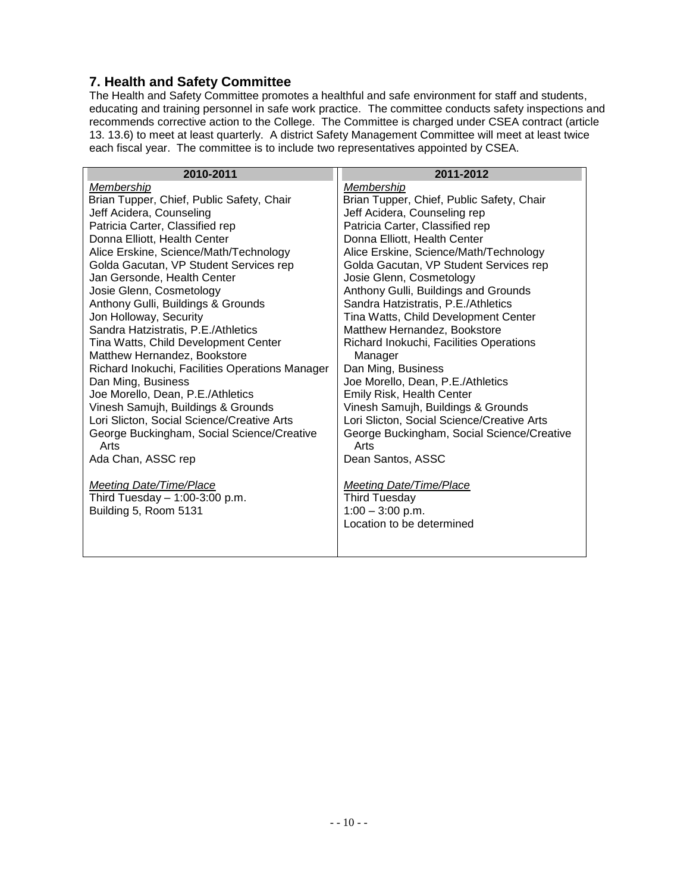### <span id="page-9-0"></span>**7. Health and Safety Committee**

The Health and Safety Committee promotes a healthful and safe environment for staff and students, educating and training personnel in safe work practice. The committee conducts safety inspections and recommends corrective action to the College. The Committee is charged under CSEA contract (article 13. 13.6) to meet at least quarterly. A district Safety Management Committee will meet at least twice each fiscal year. The committee is to include two representatives appointed by CSEA.

| 2010-2011                                       | 2011-2012                                  |
|-------------------------------------------------|--------------------------------------------|
| Membership                                      | Membership                                 |
| Brian Tupper, Chief, Public Safety, Chair       | Brian Tupper, Chief, Public Safety, Chair  |
| Jeff Acidera, Counseling                        | Jeff Acidera, Counseling rep               |
| Patricia Carter, Classified rep                 | Patricia Carter, Classified rep            |
| Donna Elliott, Health Center                    | Donna Elliott, Health Center               |
| Alice Erskine, Science/Math/Technology          | Alice Erskine, Science/Math/Technology     |
| Golda Gacutan, VP Student Services rep          | Golda Gacutan, VP Student Services rep     |
| Jan Gersonde, Health Center                     | Josie Glenn, Cosmetology                   |
| Josie Glenn, Cosmetology                        | Anthony Gulli, Buildings and Grounds       |
| Anthony Gulli, Buildings & Grounds              | Sandra Hatzistratis, P.E./Athletics        |
| Jon Holloway, Security                          | Tina Watts, Child Development Center       |
| Sandra Hatzistratis, P.E./Athletics             | Matthew Hernandez, Bookstore               |
| Tina Watts, Child Development Center            | Richard Inokuchi, Facilities Operations    |
| Matthew Hernandez, Bookstore                    | Manager                                    |
| Richard Inokuchi, Facilities Operations Manager | Dan Ming, Business                         |
| Dan Ming, Business                              | Joe Morello, Dean, P.E./Athletics          |
| Joe Morello, Dean, P.E./Athletics               | Emily Risk, Health Center                  |
| Vinesh Samujh, Buildings & Grounds              | Vinesh Samujh, Buildings & Grounds         |
| Lori Slicton, Social Science/Creative Arts      | Lori Slicton, Social Science/Creative Arts |
| George Buckingham, Social Science/Creative      | George Buckingham, Social Science/Creative |
| Arts                                            | Arts                                       |
| Ada Chan, ASSC rep                              | Dean Santos, ASSC                          |
|                                                 |                                            |
| <b>Meeting Date/Time/Place</b>                  | <b>Meeting Date/Time/Place</b>             |
| Third Tuesday - 1:00-3:00 p.m.                  | <b>Third Tuesday</b>                       |
| Building 5, Room 5131                           | $1:00 - 3:00$ p.m.                         |
|                                                 | Location to be determined                  |
|                                                 |                                            |
|                                                 |                                            |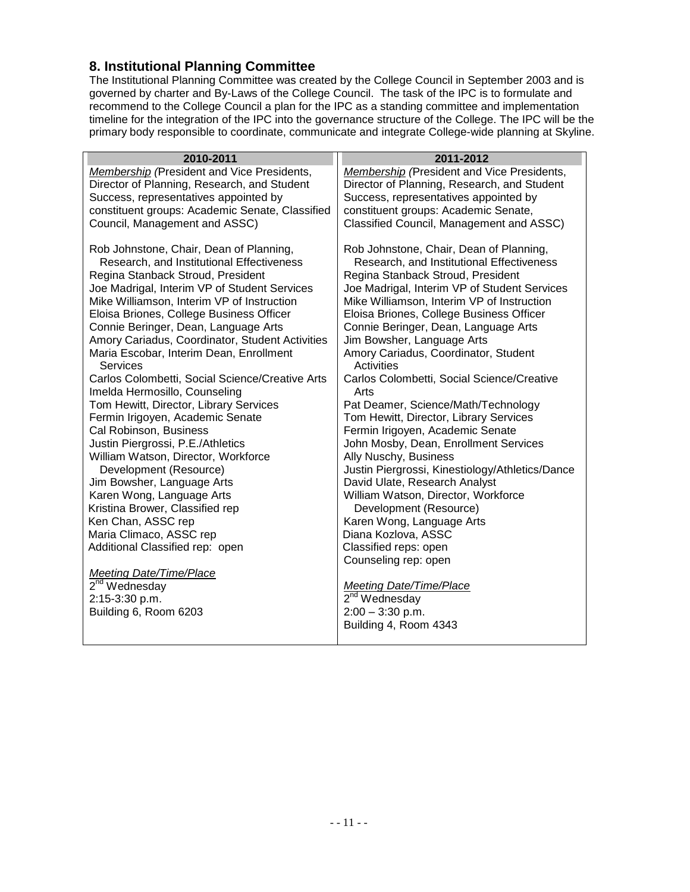#### <span id="page-10-0"></span>**8. Institutional Planning Committee**

The Institutional Planning Committee was created by the College Council in September 2003 and is governed by charter and By-Laws of the College Council. The task of the IPC is to formulate and recommend to the College Council a plan for the IPC as a standing committee and implementation timeline for the integration of the IPC into the governance structure of the College. The IPC will be the primary body responsible to coordinate, communicate and integrate College-wide planning at Skyline.

| 2010-2011                                                                         | 2011-2012                                                                         |
|-----------------------------------------------------------------------------------|-----------------------------------------------------------------------------------|
| <b>Membership</b> (President and Vice Presidents,                                 | Membership (President and Vice Presidents,                                        |
| Director of Planning, Research, and Student                                       | Director of Planning, Research, and Student                                       |
| Success, representatives appointed by                                             | Success, representatives appointed by                                             |
| constituent groups: Academic Senate, Classified                                   | constituent groups: Academic Senate,                                              |
| Council, Management and ASSC)                                                     | Classified Council, Management and ASSC)                                          |
|                                                                                   |                                                                                   |
| Rob Johnstone, Chair, Dean of Planning,                                           | Rob Johnstone, Chair, Dean of Planning,                                           |
| Research, and Institutional Effectiveness                                         | Research, and Institutional Effectiveness                                         |
| Regina Stanback Stroud, President<br>Joe Madrigal, Interim VP of Student Services | Regina Stanback Stroud, President<br>Joe Madrigal, Interim VP of Student Services |
| Mike Williamson, Interim VP of Instruction                                        | Mike Williamson, Interim VP of Instruction                                        |
| Eloisa Briones, College Business Officer                                          | Eloisa Briones, College Business Officer                                          |
| Connie Beringer, Dean, Language Arts                                              | Connie Beringer, Dean, Language Arts                                              |
| Amory Cariadus, Coordinator, Student Activities                                   | Jim Bowsher, Language Arts                                                        |
| Maria Escobar, Interim Dean, Enrollment                                           | Amory Cariadus, Coordinator, Student                                              |
| <b>Services</b>                                                                   | <b>Activities</b>                                                                 |
| Carlos Colombetti, Social Science/Creative Arts                                   | Carlos Colombetti, Social Science/Creative                                        |
| Imelda Hermosillo, Counseling                                                     | Arts                                                                              |
| Tom Hewitt, Director, Library Services                                            | Pat Deamer, Science/Math/Technology                                               |
| Fermin Irigoyen, Academic Senate                                                  | Tom Hewitt, Director, Library Services                                            |
| Cal Robinson, Business                                                            | Fermin Irigoyen, Academic Senate                                                  |
| Justin Piergrossi, P.E./Athletics                                                 | John Mosby, Dean, Enrollment Services                                             |
| William Watson, Director, Workforce                                               | Ally Nuschy, Business                                                             |
| Development (Resource)<br>Jim Bowsher, Language Arts                              | Justin Piergrossi, Kinestiology/Athletics/Dance<br>David Ulate, Research Analyst  |
| Karen Wong, Language Arts                                                         | William Watson, Director, Workforce                                               |
| Kristina Brower, Classified rep                                                   | Development (Resource)                                                            |
| Ken Chan, ASSC rep                                                                | Karen Wong, Language Arts                                                         |
| Maria Climaco, ASSC rep                                                           | Diana Kozlova, ASSC                                                               |
| Additional Classified rep: open                                                   | Classified reps: open                                                             |
|                                                                                   | Counseling rep: open                                                              |
| <b>Meeting Date/Time/Place</b>                                                    |                                                                                   |
| 2 <sup>nd</sup> Wednesday                                                         | Meeting Date/Time/Place                                                           |
| 2:15-3:30 p.m.                                                                    | $2nd$ Wednesday                                                                   |
| Building 6, Room 6203                                                             | $2:00 - 3:30$ p.m.                                                                |
|                                                                                   | Building 4, Room 4343                                                             |
|                                                                                   |                                                                                   |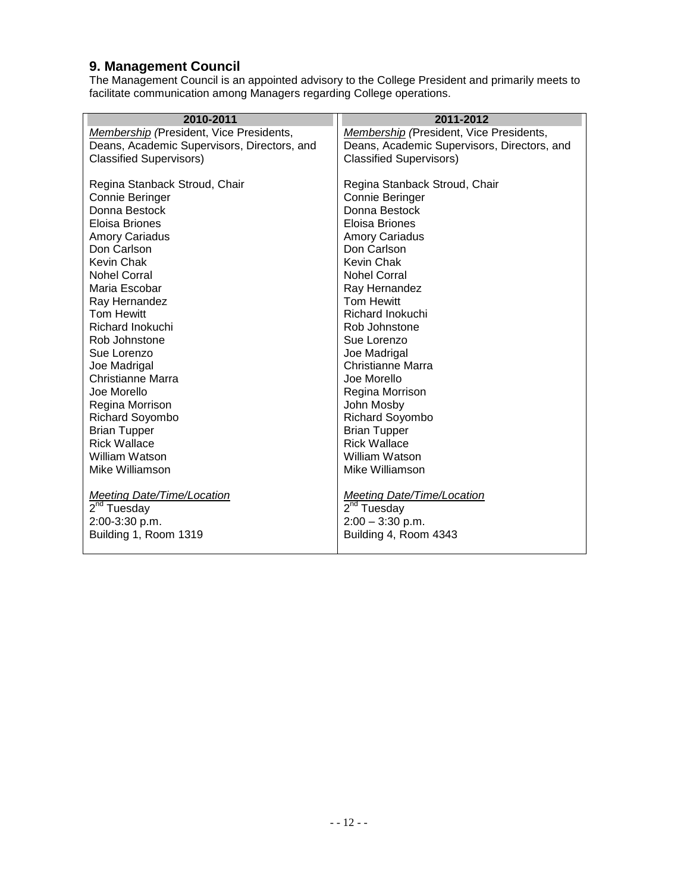#### <span id="page-11-0"></span>**9. Management Council**

The Management Council is an appointed advisory to the College President and primarily meets to facilitate communication among Managers regarding College operations.

| 2010-2011                                   | 2011-2012                                   |
|---------------------------------------------|---------------------------------------------|
| Membership (President, Vice Presidents,     | Membership (President, Vice Presidents,     |
| Deans, Academic Supervisors, Directors, and | Deans, Academic Supervisors, Directors, and |
| <b>Classified Supervisors)</b>              | <b>Classified Supervisors)</b>              |
|                                             |                                             |
| Regina Stanback Stroud, Chair               | Regina Stanback Stroud, Chair               |
| Connie Beringer                             | Connie Beringer                             |
| Donna Bestock                               | Donna Bestock                               |
| Eloisa Briones                              | Eloisa Briones                              |
| <b>Amory Cariadus</b>                       | <b>Amory Cariadus</b>                       |
| Don Carlson                                 | Don Carlson                                 |
| Kevin Chak                                  | Kevin Chak                                  |
| <b>Nohel Corral</b>                         | <b>Nohel Corral</b>                         |
| Maria Escobar                               | Ray Hernandez                               |
| Ray Hernandez                               | <b>Tom Hewitt</b>                           |
| <b>Tom Hewitt</b>                           | Richard Inokuchi                            |
| Richard Inokuchi                            | Rob Johnstone                               |
| Rob Johnstone                               | Sue Lorenzo                                 |
| Sue Lorenzo                                 | Joe Madrigal                                |
| Joe Madrigal                                | Christianne Marra                           |
| Christianne Marra                           | Joe Morello                                 |
| Joe Morello                                 | Regina Morrison                             |
| Regina Morrison                             | John Mosby                                  |
| Richard Soyombo                             | Richard Soyombo                             |
| <b>Brian Tupper</b>                         | <b>Brian Tupper</b>                         |
| <b>Rick Wallace</b>                         | <b>Rick Wallace</b>                         |
| William Watson                              | William Watson                              |
| Mike Williamson                             | Mike Williamson                             |
|                                             |                                             |
| <b>Meeting Date/Time/Location</b>           | <b>Meeting Date/Time/Location</b>           |
| 2 <sup>nd</sup> Tuesday                     | 2 <sup>nd</sup> Tuesday                     |
| 2:00-3:30 p.m.                              | $2:00 - 3:30$ p.m.                          |
| Building 1, Room 1319                       | Building 4, Room 4343                       |
|                                             |                                             |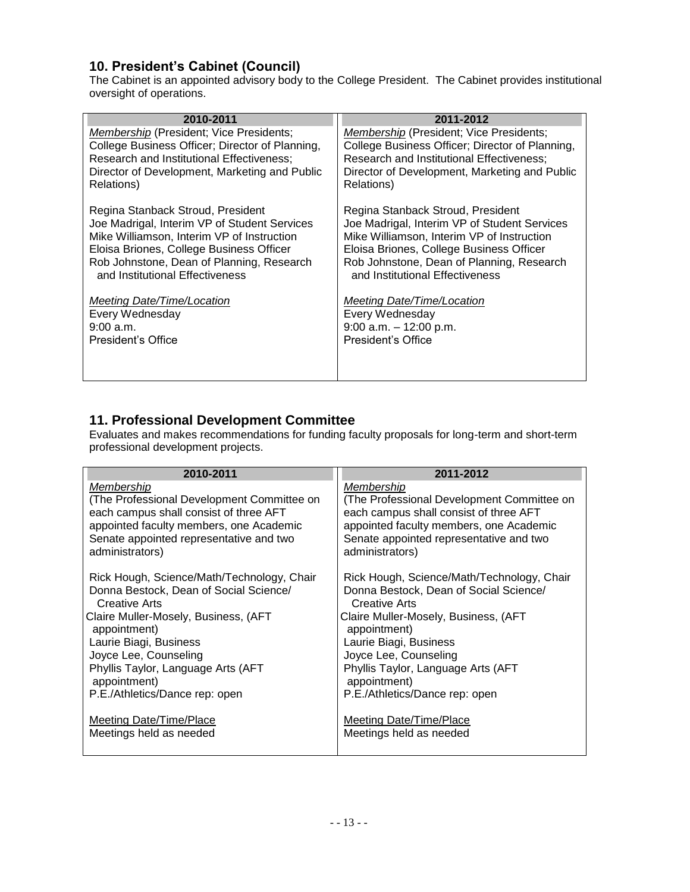## <span id="page-12-0"></span>**10. President's Cabinet (Council)**

The Cabinet is an appointed advisory body to the College President. The Cabinet provides institutional oversight of operations.

| 2010-2011                                       | 2011-2012                                       |
|-------------------------------------------------|-------------------------------------------------|
| Membership (President; Vice Presidents;         | Membership (President; Vice Presidents;         |
| College Business Officer; Director of Planning, | College Business Officer; Director of Planning, |
| Research and Institutional Effectiveness;       | Research and Institutional Effectiveness;       |
| Director of Development, Marketing and Public   | Director of Development, Marketing and Public   |
| Relations)                                      | Relations)                                      |
| Regina Stanback Stroud, President               | Regina Stanback Stroud, President               |
| Joe Madrigal, Interim VP of Student Services    | Joe Madrigal, Interim VP of Student Services    |
| Mike Williamson, Interim VP of Instruction      | Mike Williamson, Interim VP of Instruction      |
| Eloisa Briones, College Business Officer        | Eloisa Briones, College Business Officer        |
| Rob Johnstone, Dean of Planning, Research       | Rob Johnstone, Dean of Planning, Research       |
| and Institutional Effectiveness                 | and Institutional Effectiveness                 |
| Meeting Date/Time/Location                      | Meeting Date/Time/Location                      |
| Every Wednesday                                 | Every Wednesday                                 |
| $9:00$ a.m.                                     | $9:00$ a.m. $-12:00$ p.m.                       |
| President's Office                              | President's Office                              |

#### <span id="page-12-1"></span>**11. Professional Development Committee**

Evaluates and makes recommendations for funding faculty proposals for long-term and short-term professional development projects.

| 2010-2011                                  | 2011-2012                                  |
|--------------------------------------------|--------------------------------------------|
| Membership                                 | Membership                                 |
| (The Professional Development Committee on | (The Professional Development Committee on |
| each campus shall consist of three AFT     | each campus shall consist of three AFT     |
| appointed faculty members, one Academic    | appointed faculty members, one Academic    |
| Senate appointed representative and two    | Senate appointed representative and two    |
| administrators)                            | administrators)                            |
| Rick Hough, Science/Math/Technology, Chair | Rick Hough, Science/Math/Technology, Chair |
| Donna Bestock, Dean of Social Science/     | Donna Bestock, Dean of Social Science/     |
| <b>Creative Arts</b>                       | Creative Arts                              |
| Claire Muller-Mosely, Business, (AFT       | Claire Muller-Mosely, Business, (AFT       |
| appointment)                               | appointment)                               |
| Laurie Biagi, Business                     | Laurie Biagi, Business                     |
| Joyce Lee, Counseling                      | Joyce Lee, Counseling                      |
| Phyllis Taylor, Language Arts (AFT         | Phyllis Taylor, Language Arts (AFT         |
| appointment)                               | appointment)                               |
| P.E./Athletics/Dance rep: open             | P.E./Athletics/Dance rep: open             |
| Meeting Date/Time/Place                    | Meeting Date/Time/Place                    |
| Meetings held as needed                    | Meetings held as needed                    |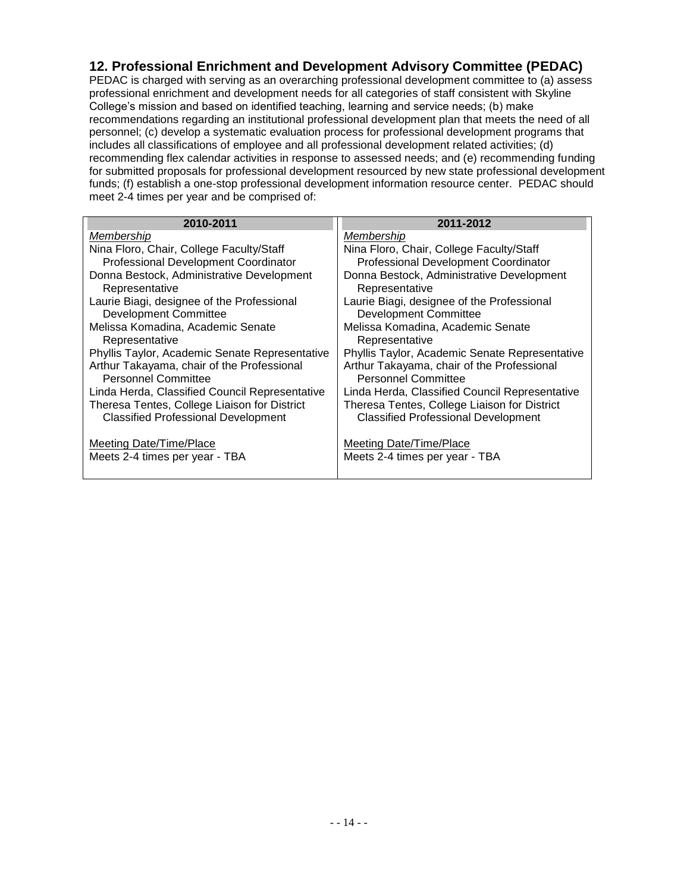### <span id="page-13-0"></span>**12. Professional Enrichment and Development Advisory Committee (PEDAC)**

PEDAC is charged with serving as an overarching professional development committee to (a) assess professional enrichment and development needs for all categories of staff consistent with Skyline College's mission and based on identified teaching, learning and service needs; (b) make recommendations regarding an institutional professional development plan that meets the need of all personnel; (c) develop a systematic evaluation process for professional development programs that includes all classifications of employee and all professional development related activities; (d) recommending flex calendar activities in response to assessed needs; and (e) recommending funding for submitted proposals for professional development resourced by new state professional development funds; (f) establish a one-stop professional development information resource center. PEDAC should meet 2-4 times per year and be comprised of:

| 2010-2011                                      | 2011-2012                                      |
|------------------------------------------------|------------------------------------------------|
| Membership                                     | Membership                                     |
| Nina Floro, Chair, College Faculty/Staff       | Nina Floro, Chair, College Faculty/Staff       |
| Professional Development Coordinator           | Professional Development Coordinator           |
| Donna Bestock, Administrative Development      | Donna Bestock, Administrative Development      |
| Representative                                 | Representative                                 |
| Laurie Biagi, designee of the Professional     | Laurie Biagi, designee of the Professional     |
| <b>Development Committee</b>                   | <b>Development Committee</b>                   |
| Melissa Komadina, Academic Senate              | Melissa Komadina, Academic Senate              |
| Representative                                 | Representative                                 |
| Phyllis Taylor, Academic Senate Representative | Phyllis Taylor, Academic Senate Representative |
| Arthur Takayama, chair of the Professional     | Arthur Takayama, chair of the Professional     |
| <b>Personnel Committee</b>                     | <b>Personnel Committee</b>                     |
| Linda Herda, Classified Council Representative | Linda Herda, Classified Council Representative |
| Theresa Tentes, College Liaison for District   | Theresa Tentes, College Liaison for District   |
| <b>Classified Professional Development</b>     | <b>Classified Professional Development</b>     |
|                                                |                                                |
| <u>Meeting Date/Time/Place</u>                 | <b>Meeting Date/Time/Place</b>                 |
| Meets 2-4 times per year - TBA                 | Meets 2-4 times per year - TBA                 |
|                                                |                                                |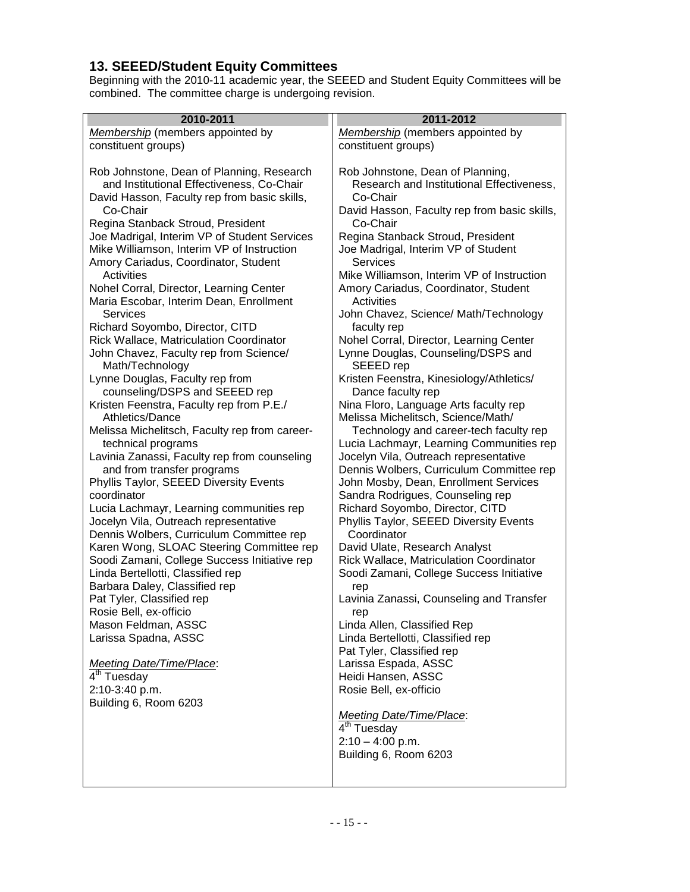#### <span id="page-14-0"></span>**13. SEEED/Student Equity Committees**

Beginning with the 2010-11 academic year, the SEEED and Student Equity Committees will be combined. The committee charge is undergoing revision.

| 2010-2011                                                                         | 2011-2012                                                           |
|-----------------------------------------------------------------------------------|---------------------------------------------------------------------|
| Membership (members appointed by                                                  | Membership (members appointed by                                    |
| constituent groups)                                                               | constituent groups)                                                 |
|                                                                                   |                                                                     |
| Rob Johnstone, Dean of Planning, Research                                         | Rob Johnstone, Dean of Planning,                                    |
| and Institutional Effectiveness, Co-Chair                                         | Research and Institutional Effectiveness,                           |
| David Hasson, Faculty rep from basic skills,                                      | Co-Chair                                                            |
| Co-Chair                                                                          | David Hasson, Faculty rep from basic skills,                        |
| Regina Stanback Stroud, President                                                 | Co-Chair                                                            |
| Joe Madrigal, Interim VP of Student Services                                      | Regina Stanback Stroud, President                                   |
| Mike Williamson, Interim VP of Instruction                                        | Joe Madrigal, Interim VP of Student                                 |
| Amory Cariadus, Coordinator, Student                                              | <b>Services</b>                                                     |
| Activities                                                                        | Mike Williamson, Interim VP of Instruction                          |
| Nohel Corral, Director, Learning Center                                           | Amory Cariadus, Coordinator, Student                                |
| Maria Escobar, Interim Dean, Enrollment                                           | Activities                                                          |
| <b>Services</b>                                                                   | John Chavez, Science/ Math/Technology                               |
| Richard Soyombo, Director, CITD                                                   | faculty rep                                                         |
| <b>Rick Wallace, Matriculation Coordinator</b>                                    | Nohel Corral, Director, Learning Center                             |
| John Chavez, Faculty rep from Science/                                            | Lynne Douglas, Counseling/DSPS and                                  |
| Math/Technology                                                                   | SEEED rep                                                           |
| Lynne Douglas, Faculty rep from                                                   | Kristen Feenstra, Kinesiology/Athletics/                            |
| counseling/DSPS and SEEED rep                                                     | Dance faculty rep                                                   |
| Kristen Feenstra, Faculty rep from P.E./                                          | Nina Floro, Language Arts faculty rep                               |
| <b>Athletics/Dance</b>                                                            | Melissa Michelitsch, Science/Math/                                  |
| Melissa Michelitsch, Faculty rep from career-                                     | Technology and career-tech faculty rep                              |
| technical programs                                                                | Lucia Lachmayr, Learning Communities rep                            |
| Lavinia Zanassi, Faculty rep from counseling                                      | Jocelyn Vila, Outreach representative                               |
| and from transfer programs                                                        | Dennis Wolbers, Curriculum Committee rep                            |
| Phyllis Taylor, SEEED Diversity Events<br>coordinator                             | John Mosby, Dean, Enrollment Services                               |
|                                                                                   | Sandra Rodrigues, Counseling rep<br>Richard Soyombo, Director, CITD |
| Lucia Lachmayr, Learning communities rep<br>Jocelyn Vila, Outreach representative | Phyllis Taylor, SEEED Diversity Events                              |
| Dennis Wolbers, Curriculum Committee rep                                          | Coordinator                                                         |
| Karen Wong, SLOAC Steering Committee rep                                          | David Ulate, Research Analyst                                       |
| Soodi Zamani, College Success Initiative rep                                      | Rick Wallace, Matriculation Coordinator                             |
| Linda Bertellotti, Classified rep                                                 | Soodi Zamani, College Success Initiative                            |
| Barbara Daley, Classified rep                                                     | rep                                                                 |
| Pat Tyler, Classified rep                                                         | Lavinia Zanassi, Counseling and Transfer                            |
| Rosie Bell, ex-officio                                                            | rep                                                                 |
| Mason Feldman, ASSC                                                               | Linda Allen, Classified Rep                                         |
| Larissa Spadna, ASSC                                                              | Linda Bertellotti, Classified rep                                   |
|                                                                                   | Pat Tyler, Classified rep                                           |
| Meeting Date/Time/Place:                                                          | Larissa Espada, ASSC                                                |
| 4 <sup>th</sup> Tuesday                                                           | Heidi Hansen, ASSC                                                  |
| 2:10-3:40 p.m.                                                                    | Rosie Bell, ex-officio                                              |
| Building 6, Room 6203                                                             |                                                                     |
|                                                                                   | <b>Meeting Date/Time/Place:</b>                                     |
|                                                                                   | 4 <sup>th</sup> Tuesday                                             |
|                                                                                   | $2:10 - 4:00$ p.m.                                                  |
|                                                                                   | Building 6, Room 6203                                               |
|                                                                                   |                                                                     |
|                                                                                   |                                                                     |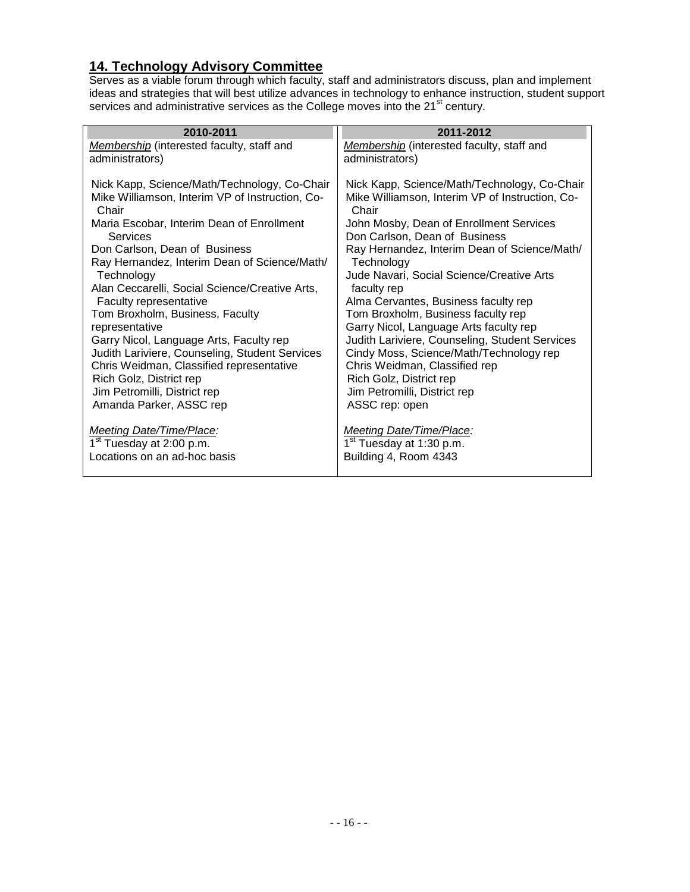## <span id="page-15-0"></span>**14. Technology Advisory Committee**

Serves as a viable forum through which faculty, staff and administrators discuss, plan and implement ideas and strategies that will best utilize advances in technology to enhance instruction, student support services and administrative services as the College moves into the 21 $^{\rm st}$  century.

| 2010-2011                                                | 2011-2012                                                |
|----------------------------------------------------------|----------------------------------------------------------|
| Membership (interested faculty, staff and                | Membership (interested faculty, staff and                |
| administrators)                                          | administrators)                                          |
|                                                          |                                                          |
| Nick Kapp, Science/Math/Technology, Co-Chair             | Nick Kapp, Science/Math/Technology, Co-Chair             |
| Mike Williamson, Interim VP of Instruction, Co-<br>Chair | Mike Williamson, Interim VP of Instruction, Co-<br>Chair |
| Maria Escobar, Interim Dean of Enrollment                | John Mosby, Dean of Enrollment Services                  |
| Services                                                 | Don Carlson, Dean of Business                            |
| Don Carlson, Dean of Business                            | Ray Hernandez, Interim Dean of Science/Math/             |
| Ray Hernandez, Interim Dean of Science/Math/             | Technology                                               |
| Technology                                               | Jude Navari, Social Science/Creative Arts                |
| Alan Ceccarelli, Social Science/Creative Arts,           | faculty rep                                              |
| Faculty representative                                   | Alma Cervantes, Business faculty rep                     |
| Tom Broxholm, Business, Faculty                          | Tom Broxholm, Business faculty rep                       |
| representative                                           | Garry Nicol, Language Arts faculty rep                   |
| Garry Nicol, Language Arts, Faculty rep                  | Judith Lariviere, Counseling, Student Services           |
| Judith Lariviere, Counseling, Student Services           | Cindy Moss, Science/Math/Technology rep                  |
| Chris Weidman, Classified representative                 | Chris Weidman, Classified rep                            |
| Rich Golz, District rep                                  | Rich Golz, District rep                                  |
| Jim Petromilli, District rep                             | Jim Petromilli, District rep                             |
| Amanda Parker, ASSC rep                                  | ASSC rep: open                                           |
| <b>Meeting Date/Time/Place:</b>                          | <b>Meeting Date/Time/Place:</b>                          |
| 1 <sup>st</sup> Tuesday at 2:00 p.m.                     | 1 <sup>st</sup> Tuesday at 1:30 p.m.                     |
| Locations on an ad-hoc basis                             | Building 4, Room 4343                                    |
|                                                          |                                                          |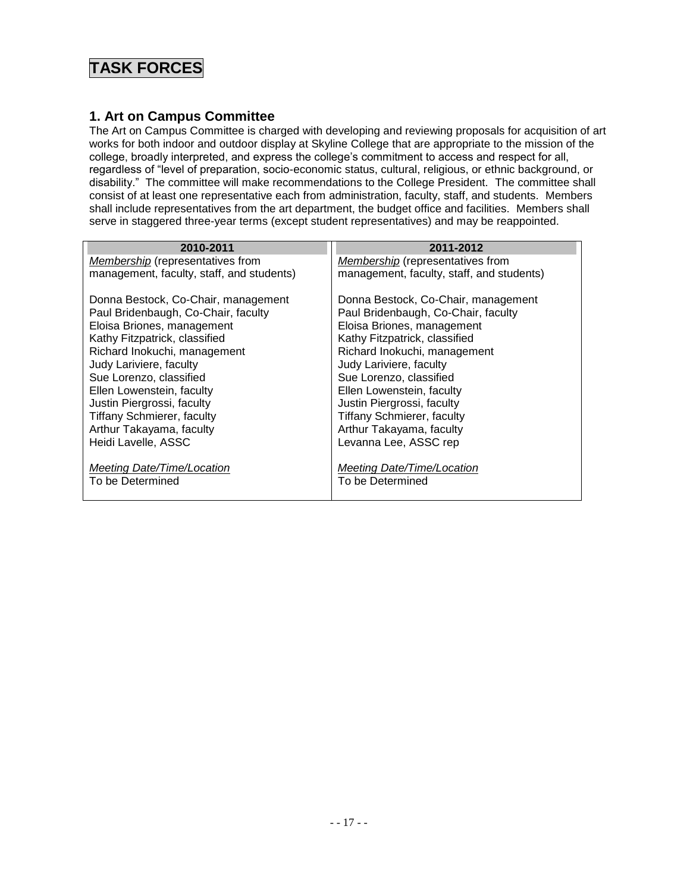## **TASK FORCES**

#### <span id="page-16-0"></span>**1. Art on Campus Committee**

The Art on Campus Committee is charged with developing and reviewing proposals for acquisition of art works for both indoor and outdoor display at Skyline College that are appropriate to the mission of the college, broadly interpreted, and express the college's commitment to access and respect for all, regardless of "level of preparation, socio-economic status, cultural, religious, or ethnic background, or disability." The committee will make recommendations to the College President. The committee shall consist of at least one representative each from administration, faculty, staff, and students. Members shall include representatives from the art department, the budget office and facilities. Members shall serve in staggered three-year terms (except student representatives) and may be reappointed.

| 2010-2011                                 | 2011-2012                                 |
|-------------------------------------------|-------------------------------------------|
| <b>Membership</b> (representatives from   | <b>Membership</b> (representatives from   |
|                                           |                                           |
| management, faculty, staff, and students) | management, faculty, staff, and students) |
|                                           |                                           |
| Donna Bestock, Co-Chair, management       | Donna Bestock, Co-Chair, management       |
| Paul Bridenbaugh, Co-Chair, faculty       | Paul Bridenbaugh, Co-Chair, faculty       |
| Eloisa Briones, management                | Eloisa Briones, management                |
| Kathy Fitzpatrick, classified             | Kathy Fitzpatrick, classified             |
| Richard Inokuchi, management              | Richard Inokuchi, management              |
| Judy Lariviere, faculty                   | Judy Lariviere, faculty                   |
| Sue Lorenzo, classified                   | Sue Lorenzo, classified                   |
| Ellen Lowenstein, faculty                 | Ellen Lowenstein, faculty                 |
| Justin Piergrossi, faculty                | Justin Piergrossi, faculty                |
| <b>Tiffany Schmierer, faculty</b>         | <b>Tiffany Schmierer, faculty</b>         |
| Arthur Takayama, faculty                  | Arthur Takayama, faculty                  |
| Heidi Lavelle, ASSC                       | Levanna Lee, ASSC rep                     |
|                                           |                                           |
| Meeting Date/Time/Location                | Meeting Date/Time/Location                |
| To be Determined                          | To be Determined                          |
|                                           |                                           |
|                                           |                                           |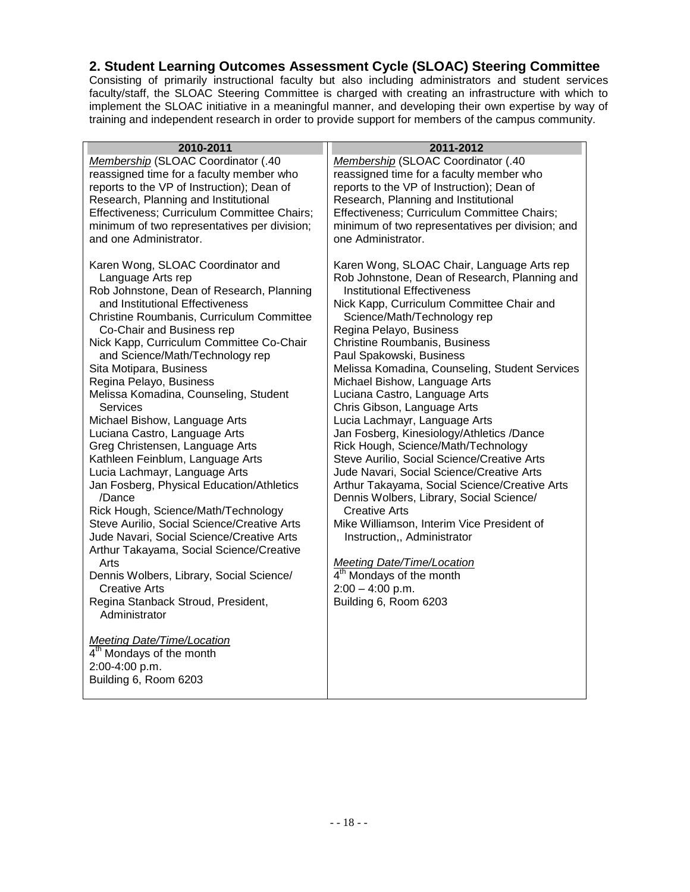#### <span id="page-17-0"></span>**2. Student Learning Outcomes Assessment Cycle (SLOAC) Steering Committee**

Consisting of primarily instructional faculty but also including administrators and student services faculty/staff, the SLOAC Steering Committee is charged with creating an infrastructure with which to implement the SLOAC initiative in a meaningful manner, and developing their own expertise by way of training and independent research in order to provide support for members of the campus community.

| Membership (SLOAC Coordinator (.40<br>Membership (SLOAC Coordinator (.40<br>reassigned time for a faculty member who<br>reassigned time for a faculty member who<br>reports to the VP of Instruction); Dean of<br>reports to the VP of Instruction); Dean of<br>Research, Planning and Institutional<br>Research, Planning and Institutional<br>Effectiveness; Curriculum Committee Chairs;<br>Effectiveness; Curriculum Committee Chairs;<br>minimum of two representatives per division;<br>minimum of two representatives per division; and<br>one Administrator.<br>and one Administrator.<br>Karen Wong, SLOAC Coordinator and<br>Karen Wong, SLOAC Chair, Language Arts rep<br>Language Arts rep<br>Rob Johnstone, Dean of Research, Planning and<br><b>Institutional Effectiveness</b><br>Rob Johnstone, Dean of Research, Planning<br>and Institutional Effectiveness<br>Nick Kapp, Curriculum Committee Chair and<br>Christine Roumbanis, Curriculum Committee<br>Science/Math/Technology rep<br>Regina Pelayo, Business<br>Co-Chair and Business rep<br>Nick Kapp, Curriculum Committee Co-Chair<br><b>Christine Roumbanis, Business</b><br>and Science/Math/Technology rep<br>Paul Spakowski, Business<br>Sita Motipara, Business<br>Melissa Komadina, Counseling, Student Services<br>Regina Pelayo, Business<br>Michael Bishow, Language Arts<br>Melissa Komadina, Counseling, Student<br>Luciana Castro, Language Arts<br>Chris Gibson, Language Arts<br><b>Services</b><br>Michael Bishow, Language Arts<br>Lucia Lachmayr, Language Arts<br>Luciana Castro, Language Arts<br>Jan Fosberg, Kinesiology/Athletics /Dance<br>Greg Christensen, Language Arts<br>Rick Hough, Science/Math/Technology<br>Kathleen Feinblum, Language Arts<br>Steve Aurilio, Social Science/Creative Arts<br>Lucia Lachmayr, Language Arts<br>Jude Navari, Social Science/Creative Arts<br>Jan Fosberg, Physical Education/Athletics<br>Arthur Takayama, Social Science/Creative Arts<br>Dennis Wolbers, Library, Social Science/<br>/Dance<br>Rick Hough, Science/Math/Technology<br><b>Creative Arts</b><br>Steve Aurilio, Social Science/Creative Arts<br>Mike Williamson, Interim Vice President of<br>Jude Navari, Social Science/Creative Arts<br>Instruction,, Administrator<br>Arthur Takayama, Social Science/Creative<br>Arts<br><b>Meeting Date/Time/Location</b><br>4 <sup>th</sup> Mondays of the month<br>Dennis Wolbers, Library, Social Science/<br>$2:00 - 4:00$ p.m.<br><b>Creative Arts</b><br>Regina Stanback Stroud, President,<br>Building 6, Room 6203<br>Administrator<br><b>Meeting Date/Time/Location</b><br>4 <sup>th</sup> Mondays of the month<br>2:00-4:00 p.m.<br>Building 6, Room 6203 | 2010-2011 | 2011-2012 |
|------------------------------------------------------------------------------------------------------------------------------------------------------------------------------------------------------------------------------------------------------------------------------------------------------------------------------------------------------------------------------------------------------------------------------------------------------------------------------------------------------------------------------------------------------------------------------------------------------------------------------------------------------------------------------------------------------------------------------------------------------------------------------------------------------------------------------------------------------------------------------------------------------------------------------------------------------------------------------------------------------------------------------------------------------------------------------------------------------------------------------------------------------------------------------------------------------------------------------------------------------------------------------------------------------------------------------------------------------------------------------------------------------------------------------------------------------------------------------------------------------------------------------------------------------------------------------------------------------------------------------------------------------------------------------------------------------------------------------------------------------------------------------------------------------------------------------------------------------------------------------------------------------------------------------------------------------------------------------------------------------------------------------------------------------------------------------------------------------------------------------------------------------------------------------------------------------------------------------------------------------------------------------------------------------------------------------------------------------------------------------------------------------------------------------------------------------------------------------------------------------------------------------------------------------------------------------------------------------------------------------------------------------------------------------------------------------------------|-----------|-----------|
|                                                                                                                                                                                                                                                                                                                                                                                                                                                                                                                                                                                                                                                                                                                                                                                                                                                                                                                                                                                                                                                                                                                                                                                                                                                                                                                                                                                                                                                                                                                                                                                                                                                                                                                                                                                                                                                                                                                                                                                                                                                                                                                                                                                                                                                                                                                                                                                                                                                                                                                                                                                                                                                                                                                  |           |           |
|                                                                                                                                                                                                                                                                                                                                                                                                                                                                                                                                                                                                                                                                                                                                                                                                                                                                                                                                                                                                                                                                                                                                                                                                                                                                                                                                                                                                                                                                                                                                                                                                                                                                                                                                                                                                                                                                                                                                                                                                                                                                                                                                                                                                                                                                                                                                                                                                                                                                                                                                                                                                                                                                                                                  |           |           |
|                                                                                                                                                                                                                                                                                                                                                                                                                                                                                                                                                                                                                                                                                                                                                                                                                                                                                                                                                                                                                                                                                                                                                                                                                                                                                                                                                                                                                                                                                                                                                                                                                                                                                                                                                                                                                                                                                                                                                                                                                                                                                                                                                                                                                                                                                                                                                                                                                                                                                                                                                                                                                                                                                                                  |           |           |
|                                                                                                                                                                                                                                                                                                                                                                                                                                                                                                                                                                                                                                                                                                                                                                                                                                                                                                                                                                                                                                                                                                                                                                                                                                                                                                                                                                                                                                                                                                                                                                                                                                                                                                                                                                                                                                                                                                                                                                                                                                                                                                                                                                                                                                                                                                                                                                                                                                                                                                                                                                                                                                                                                                                  |           |           |
|                                                                                                                                                                                                                                                                                                                                                                                                                                                                                                                                                                                                                                                                                                                                                                                                                                                                                                                                                                                                                                                                                                                                                                                                                                                                                                                                                                                                                                                                                                                                                                                                                                                                                                                                                                                                                                                                                                                                                                                                                                                                                                                                                                                                                                                                                                                                                                                                                                                                                                                                                                                                                                                                                                                  |           |           |
|                                                                                                                                                                                                                                                                                                                                                                                                                                                                                                                                                                                                                                                                                                                                                                                                                                                                                                                                                                                                                                                                                                                                                                                                                                                                                                                                                                                                                                                                                                                                                                                                                                                                                                                                                                                                                                                                                                                                                                                                                                                                                                                                                                                                                                                                                                                                                                                                                                                                                                                                                                                                                                                                                                                  |           |           |
|                                                                                                                                                                                                                                                                                                                                                                                                                                                                                                                                                                                                                                                                                                                                                                                                                                                                                                                                                                                                                                                                                                                                                                                                                                                                                                                                                                                                                                                                                                                                                                                                                                                                                                                                                                                                                                                                                                                                                                                                                                                                                                                                                                                                                                                                                                                                                                                                                                                                                                                                                                                                                                                                                                                  |           |           |
|                                                                                                                                                                                                                                                                                                                                                                                                                                                                                                                                                                                                                                                                                                                                                                                                                                                                                                                                                                                                                                                                                                                                                                                                                                                                                                                                                                                                                                                                                                                                                                                                                                                                                                                                                                                                                                                                                                                                                                                                                                                                                                                                                                                                                                                                                                                                                                                                                                                                                                                                                                                                                                                                                                                  |           |           |
|                                                                                                                                                                                                                                                                                                                                                                                                                                                                                                                                                                                                                                                                                                                                                                                                                                                                                                                                                                                                                                                                                                                                                                                                                                                                                                                                                                                                                                                                                                                                                                                                                                                                                                                                                                                                                                                                                                                                                                                                                                                                                                                                                                                                                                                                                                                                                                                                                                                                                                                                                                                                                                                                                                                  |           |           |
|                                                                                                                                                                                                                                                                                                                                                                                                                                                                                                                                                                                                                                                                                                                                                                                                                                                                                                                                                                                                                                                                                                                                                                                                                                                                                                                                                                                                                                                                                                                                                                                                                                                                                                                                                                                                                                                                                                                                                                                                                                                                                                                                                                                                                                                                                                                                                                                                                                                                                                                                                                                                                                                                                                                  |           |           |
|                                                                                                                                                                                                                                                                                                                                                                                                                                                                                                                                                                                                                                                                                                                                                                                                                                                                                                                                                                                                                                                                                                                                                                                                                                                                                                                                                                                                                                                                                                                                                                                                                                                                                                                                                                                                                                                                                                                                                                                                                                                                                                                                                                                                                                                                                                                                                                                                                                                                                                                                                                                                                                                                                                                  |           |           |
|                                                                                                                                                                                                                                                                                                                                                                                                                                                                                                                                                                                                                                                                                                                                                                                                                                                                                                                                                                                                                                                                                                                                                                                                                                                                                                                                                                                                                                                                                                                                                                                                                                                                                                                                                                                                                                                                                                                                                                                                                                                                                                                                                                                                                                                                                                                                                                                                                                                                                                                                                                                                                                                                                                                  |           |           |
|                                                                                                                                                                                                                                                                                                                                                                                                                                                                                                                                                                                                                                                                                                                                                                                                                                                                                                                                                                                                                                                                                                                                                                                                                                                                                                                                                                                                                                                                                                                                                                                                                                                                                                                                                                                                                                                                                                                                                                                                                                                                                                                                                                                                                                                                                                                                                                                                                                                                                                                                                                                                                                                                                                                  |           |           |
|                                                                                                                                                                                                                                                                                                                                                                                                                                                                                                                                                                                                                                                                                                                                                                                                                                                                                                                                                                                                                                                                                                                                                                                                                                                                                                                                                                                                                                                                                                                                                                                                                                                                                                                                                                                                                                                                                                                                                                                                                                                                                                                                                                                                                                                                                                                                                                                                                                                                                                                                                                                                                                                                                                                  |           |           |
|                                                                                                                                                                                                                                                                                                                                                                                                                                                                                                                                                                                                                                                                                                                                                                                                                                                                                                                                                                                                                                                                                                                                                                                                                                                                                                                                                                                                                                                                                                                                                                                                                                                                                                                                                                                                                                                                                                                                                                                                                                                                                                                                                                                                                                                                                                                                                                                                                                                                                                                                                                                                                                                                                                                  |           |           |
|                                                                                                                                                                                                                                                                                                                                                                                                                                                                                                                                                                                                                                                                                                                                                                                                                                                                                                                                                                                                                                                                                                                                                                                                                                                                                                                                                                                                                                                                                                                                                                                                                                                                                                                                                                                                                                                                                                                                                                                                                                                                                                                                                                                                                                                                                                                                                                                                                                                                                                                                                                                                                                                                                                                  |           |           |
|                                                                                                                                                                                                                                                                                                                                                                                                                                                                                                                                                                                                                                                                                                                                                                                                                                                                                                                                                                                                                                                                                                                                                                                                                                                                                                                                                                                                                                                                                                                                                                                                                                                                                                                                                                                                                                                                                                                                                                                                                                                                                                                                                                                                                                                                                                                                                                                                                                                                                                                                                                                                                                                                                                                  |           |           |
|                                                                                                                                                                                                                                                                                                                                                                                                                                                                                                                                                                                                                                                                                                                                                                                                                                                                                                                                                                                                                                                                                                                                                                                                                                                                                                                                                                                                                                                                                                                                                                                                                                                                                                                                                                                                                                                                                                                                                                                                                                                                                                                                                                                                                                                                                                                                                                                                                                                                                                                                                                                                                                                                                                                  |           |           |
|                                                                                                                                                                                                                                                                                                                                                                                                                                                                                                                                                                                                                                                                                                                                                                                                                                                                                                                                                                                                                                                                                                                                                                                                                                                                                                                                                                                                                                                                                                                                                                                                                                                                                                                                                                                                                                                                                                                                                                                                                                                                                                                                                                                                                                                                                                                                                                                                                                                                                                                                                                                                                                                                                                                  |           |           |
|                                                                                                                                                                                                                                                                                                                                                                                                                                                                                                                                                                                                                                                                                                                                                                                                                                                                                                                                                                                                                                                                                                                                                                                                                                                                                                                                                                                                                                                                                                                                                                                                                                                                                                                                                                                                                                                                                                                                                                                                                                                                                                                                                                                                                                                                                                                                                                                                                                                                                                                                                                                                                                                                                                                  |           |           |
|                                                                                                                                                                                                                                                                                                                                                                                                                                                                                                                                                                                                                                                                                                                                                                                                                                                                                                                                                                                                                                                                                                                                                                                                                                                                                                                                                                                                                                                                                                                                                                                                                                                                                                                                                                                                                                                                                                                                                                                                                                                                                                                                                                                                                                                                                                                                                                                                                                                                                                                                                                                                                                                                                                                  |           |           |
|                                                                                                                                                                                                                                                                                                                                                                                                                                                                                                                                                                                                                                                                                                                                                                                                                                                                                                                                                                                                                                                                                                                                                                                                                                                                                                                                                                                                                                                                                                                                                                                                                                                                                                                                                                                                                                                                                                                                                                                                                                                                                                                                                                                                                                                                                                                                                                                                                                                                                                                                                                                                                                                                                                                  |           |           |
|                                                                                                                                                                                                                                                                                                                                                                                                                                                                                                                                                                                                                                                                                                                                                                                                                                                                                                                                                                                                                                                                                                                                                                                                                                                                                                                                                                                                                                                                                                                                                                                                                                                                                                                                                                                                                                                                                                                                                                                                                                                                                                                                                                                                                                                                                                                                                                                                                                                                                                                                                                                                                                                                                                                  |           |           |
|                                                                                                                                                                                                                                                                                                                                                                                                                                                                                                                                                                                                                                                                                                                                                                                                                                                                                                                                                                                                                                                                                                                                                                                                                                                                                                                                                                                                                                                                                                                                                                                                                                                                                                                                                                                                                                                                                                                                                                                                                                                                                                                                                                                                                                                                                                                                                                                                                                                                                                                                                                                                                                                                                                                  |           |           |
|                                                                                                                                                                                                                                                                                                                                                                                                                                                                                                                                                                                                                                                                                                                                                                                                                                                                                                                                                                                                                                                                                                                                                                                                                                                                                                                                                                                                                                                                                                                                                                                                                                                                                                                                                                                                                                                                                                                                                                                                                                                                                                                                                                                                                                                                                                                                                                                                                                                                                                                                                                                                                                                                                                                  |           |           |
|                                                                                                                                                                                                                                                                                                                                                                                                                                                                                                                                                                                                                                                                                                                                                                                                                                                                                                                                                                                                                                                                                                                                                                                                                                                                                                                                                                                                                                                                                                                                                                                                                                                                                                                                                                                                                                                                                                                                                                                                                                                                                                                                                                                                                                                                                                                                                                                                                                                                                                                                                                                                                                                                                                                  |           |           |
|                                                                                                                                                                                                                                                                                                                                                                                                                                                                                                                                                                                                                                                                                                                                                                                                                                                                                                                                                                                                                                                                                                                                                                                                                                                                                                                                                                                                                                                                                                                                                                                                                                                                                                                                                                                                                                                                                                                                                                                                                                                                                                                                                                                                                                                                                                                                                                                                                                                                                                                                                                                                                                                                                                                  |           |           |
|                                                                                                                                                                                                                                                                                                                                                                                                                                                                                                                                                                                                                                                                                                                                                                                                                                                                                                                                                                                                                                                                                                                                                                                                                                                                                                                                                                                                                                                                                                                                                                                                                                                                                                                                                                                                                                                                                                                                                                                                                                                                                                                                                                                                                                                                                                                                                                                                                                                                                                                                                                                                                                                                                                                  |           |           |
|                                                                                                                                                                                                                                                                                                                                                                                                                                                                                                                                                                                                                                                                                                                                                                                                                                                                                                                                                                                                                                                                                                                                                                                                                                                                                                                                                                                                                                                                                                                                                                                                                                                                                                                                                                                                                                                                                                                                                                                                                                                                                                                                                                                                                                                                                                                                                                                                                                                                                                                                                                                                                                                                                                                  |           |           |
|                                                                                                                                                                                                                                                                                                                                                                                                                                                                                                                                                                                                                                                                                                                                                                                                                                                                                                                                                                                                                                                                                                                                                                                                                                                                                                                                                                                                                                                                                                                                                                                                                                                                                                                                                                                                                                                                                                                                                                                                                                                                                                                                                                                                                                                                                                                                                                                                                                                                                                                                                                                                                                                                                                                  |           |           |
|                                                                                                                                                                                                                                                                                                                                                                                                                                                                                                                                                                                                                                                                                                                                                                                                                                                                                                                                                                                                                                                                                                                                                                                                                                                                                                                                                                                                                                                                                                                                                                                                                                                                                                                                                                                                                                                                                                                                                                                                                                                                                                                                                                                                                                                                                                                                                                                                                                                                                                                                                                                                                                                                                                                  |           |           |
|                                                                                                                                                                                                                                                                                                                                                                                                                                                                                                                                                                                                                                                                                                                                                                                                                                                                                                                                                                                                                                                                                                                                                                                                                                                                                                                                                                                                                                                                                                                                                                                                                                                                                                                                                                                                                                                                                                                                                                                                                                                                                                                                                                                                                                                                                                                                                                                                                                                                                                                                                                                                                                                                                                                  |           |           |
|                                                                                                                                                                                                                                                                                                                                                                                                                                                                                                                                                                                                                                                                                                                                                                                                                                                                                                                                                                                                                                                                                                                                                                                                                                                                                                                                                                                                                                                                                                                                                                                                                                                                                                                                                                                                                                                                                                                                                                                                                                                                                                                                                                                                                                                                                                                                                                                                                                                                                                                                                                                                                                                                                                                  |           |           |
|                                                                                                                                                                                                                                                                                                                                                                                                                                                                                                                                                                                                                                                                                                                                                                                                                                                                                                                                                                                                                                                                                                                                                                                                                                                                                                                                                                                                                                                                                                                                                                                                                                                                                                                                                                                                                                                                                                                                                                                                                                                                                                                                                                                                                                                                                                                                                                                                                                                                                                                                                                                                                                                                                                                  |           |           |
|                                                                                                                                                                                                                                                                                                                                                                                                                                                                                                                                                                                                                                                                                                                                                                                                                                                                                                                                                                                                                                                                                                                                                                                                                                                                                                                                                                                                                                                                                                                                                                                                                                                                                                                                                                                                                                                                                                                                                                                                                                                                                                                                                                                                                                                                                                                                                                                                                                                                                                                                                                                                                                                                                                                  |           |           |
|                                                                                                                                                                                                                                                                                                                                                                                                                                                                                                                                                                                                                                                                                                                                                                                                                                                                                                                                                                                                                                                                                                                                                                                                                                                                                                                                                                                                                                                                                                                                                                                                                                                                                                                                                                                                                                                                                                                                                                                                                                                                                                                                                                                                                                                                                                                                                                                                                                                                                                                                                                                                                                                                                                                  |           |           |
|                                                                                                                                                                                                                                                                                                                                                                                                                                                                                                                                                                                                                                                                                                                                                                                                                                                                                                                                                                                                                                                                                                                                                                                                                                                                                                                                                                                                                                                                                                                                                                                                                                                                                                                                                                                                                                                                                                                                                                                                                                                                                                                                                                                                                                                                                                                                                                                                                                                                                                                                                                                                                                                                                                                  |           |           |
|                                                                                                                                                                                                                                                                                                                                                                                                                                                                                                                                                                                                                                                                                                                                                                                                                                                                                                                                                                                                                                                                                                                                                                                                                                                                                                                                                                                                                                                                                                                                                                                                                                                                                                                                                                                                                                                                                                                                                                                                                                                                                                                                                                                                                                                                                                                                                                                                                                                                                                                                                                                                                                                                                                                  |           |           |
|                                                                                                                                                                                                                                                                                                                                                                                                                                                                                                                                                                                                                                                                                                                                                                                                                                                                                                                                                                                                                                                                                                                                                                                                                                                                                                                                                                                                                                                                                                                                                                                                                                                                                                                                                                                                                                                                                                                                                                                                                                                                                                                                                                                                                                                                                                                                                                                                                                                                                                                                                                                                                                                                                                                  |           |           |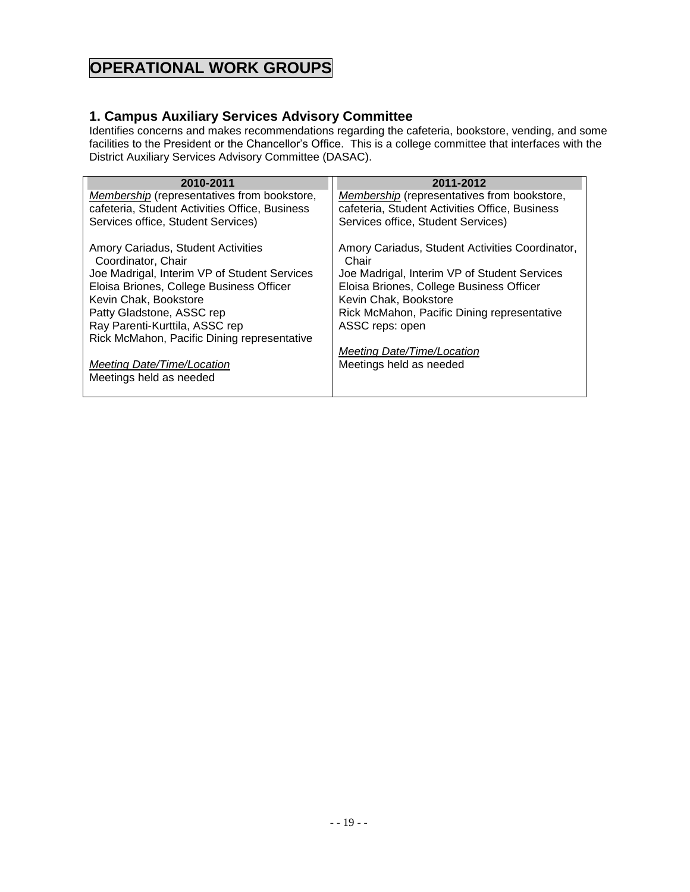# **OPERATIONAL WORK GROUPS**

#### <span id="page-18-0"></span>**1. Campus Auxiliary Services Advisory Committee**

Identifies concerns and makes recommendations regarding the cafeteria, bookstore, vending, and some facilities to the President or the Chancellor's Office. This is a college committee that interfaces with the District Auxiliary Services Advisory Committee (DASAC).

| 2010-2011                                          | 2011-2012                                          |
|----------------------------------------------------|----------------------------------------------------|
| <b>Membership</b> (representatives from bookstore, | <b>Membership</b> (representatives from bookstore, |
| cafeteria, Student Activities Office, Business     | cafeteria, Student Activities Office, Business     |
| Services office, Student Services)                 | Services office, Student Services)                 |
|                                                    |                                                    |
| Amory Cariadus, Student Activities                 | Amory Cariadus, Student Activities Coordinator,    |
| Coordinator, Chair                                 | Chair                                              |
| Joe Madrigal, Interim VP of Student Services       | Joe Madrigal, Interim VP of Student Services       |
| Eloisa Briones, College Business Officer           | Eloisa Briones, College Business Officer           |
| Kevin Chak, Bookstore                              | Kevin Chak, Bookstore                              |
| Patty Gladstone, ASSC rep                          | Rick McMahon, Pacific Dining representative        |
| Ray Parenti-Kurttila, ASSC rep                     | ASSC reps: open                                    |
| Rick McMahon, Pacific Dining representative        |                                                    |
|                                                    | Meeting Date/Time/Location                         |
| Meeting Date/Time/Location                         | Meetings held as needed                            |
| Meetings held as needed                            |                                                    |
|                                                    |                                                    |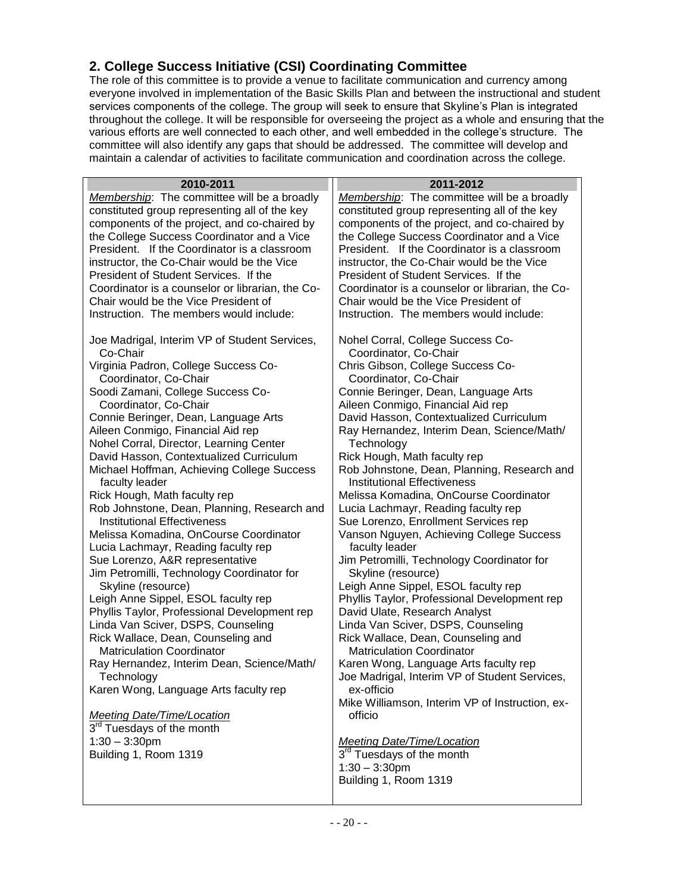## <span id="page-19-0"></span>**2. College Success Initiative (CSI) Coordinating Committee**

The role of this committee is to provide a venue to facilitate communication and currency among everyone involved in implementation of the Basic Skills Plan and between the instructional and student services components of the college. The group will seek to ensure that Skyline's Plan is integrated throughout the college. It will be responsible for overseeing the project as a whole and ensuring that the various efforts are well connected to each other, and well embedded in the college's structure. The committee will also identify any gaps that should be addressed. The committee will develop and maintain a calendar of activities to facilitate communication and coordination across the college.

| 2010-2011                                                    | 2011-2012                                                                         |
|--------------------------------------------------------------|-----------------------------------------------------------------------------------|
| Membership: The committee will be a broadly                  | Membership: The committee will be a broadly                                       |
| constituted group representing all of the key                | constituted group representing all of the key                                     |
| components of the project, and co-chaired by                 | components of the project, and co-chaired by                                      |
| the College Success Coordinator and a Vice                   | the College Success Coordinator and a Vice                                        |
| President. If the Coordinator is a classroom                 | President. If the Coordinator is a classroom                                      |
| instructor, the Co-Chair would be the Vice                   | instructor, the Co-Chair would be the Vice                                        |
| President of Student Services. If the                        | President of Student Services. If the                                             |
| Coordinator is a counselor or librarian, the Co-             | Coordinator is a counselor or librarian, the Co-                                  |
| Chair would be the Vice President of                         | Chair would be the Vice President of                                              |
| Instruction. The members would include:                      | Instruction. The members would include:                                           |
| Joe Madrigal, Interim VP of Student Services,                | Nohel Corral, College Success Co-                                                 |
| Co-Chair                                                     | Coordinator, Co-Chair                                                             |
| Virginia Padron, College Success Co-                         | Chris Gibson, College Success Co-                                                 |
| Coordinator, Co-Chair                                        | Coordinator, Co-Chair                                                             |
| Soodi Zamani, College Success Co-                            | Connie Beringer, Dean, Language Arts                                              |
| Coordinator, Co-Chair                                        | Aileen Conmigo, Financial Aid rep                                                 |
| Connie Beringer, Dean, Language Arts                         | David Hasson, Contextualized Curriculum                                           |
| Aileen Conmigo, Financial Aid rep                            | Ray Hernandez, Interim Dean, Science/Math/                                        |
| Nohel Corral, Director, Learning Center                      | Technology                                                                        |
| David Hasson, Contextualized Curriculum                      | Rick Hough, Math faculty rep                                                      |
| Michael Hoffman, Achieving College Success<br>faculty leader | Rob Johnstone, Dean, Planning, Research and<br><b>Institutional Effectiveness</b> |
| Rick Hough, Math faculty rep                                 | Melissa Komadina, OnCourse Coordinator                                            |
| Rob Johnstone, Dean, Planning, Research and                  | Lucia Lachmayr, Reading faculty rep                                               |
| <b>Institutional Effectiveness</b>                           | Sue Lorenzo, Enrollment Services rep                                              |
| Melissa Komadina, OnCourse Coordinator                       | Vanson Nguyen, Achieving College Success                                          |
| Lucia Lachmayr, Reading faculty rep                          | faculty leader                                                                    |
| Sue Lorenzo, A&R representative                              | Jim Petromilli, Technology Coordinator for                                        |
| Jim Petromilli, Technology Coordinator for                   | Skyline (resource)                                                                |
| Skyline (resource)                                           | Leigh Anne Sippel, ESOL faculty rep                                               |
| Leigh Anne Sippel, ESOL faculty rep                          | Phyllis Taylor, Professional Development rep                                      |
| Phyllis Taylor, Professional Development rep                 | David Ulate, Research Analyst                                                     |
| Linda Van Sciver, DSPS, Counseling                           | Linda Van Sciver, DSPS, Counseling                                                |
| Rick Wallace, Dean, Counseling and                           | Rick Wallace, Dean, Counseling and                                                |
| <b>Matriculation Coordinator</b>                             | <b>Matriculation Coordinator</b>                                                  |
| Ray Hernandez, Interim Dean, Science/Math/                   | Karen Wong, Language Arts faculty rep                                             |
| Technology                                                   | Joe Madrigal, Interim VP of Student Services,                                     |
| Karen Wong, Language Arts faculty rep                        | ex-officio                                                                        |
|                                                              | Mike Williamson, Interim VP of Instruction, ex-                                   |
| <b>Meeting Date/Time/Location</b>                            | officio                                                                           |
| 3 <sup>rd</sup> Tuesdays of the month                        |                                                                                   |
| $1:30 - 3:30$ pm                                             | <b>Meeting Date/Time/Location</b>                                                 |
| Building 1, Room 1319                                        | 3 <sup>rd</sup> Tuesdays of the month                                             |
|                                                              | $1:30 - 3:30$ pm                                                                  |
|                                                              | Building 1, Room 1319                                                             |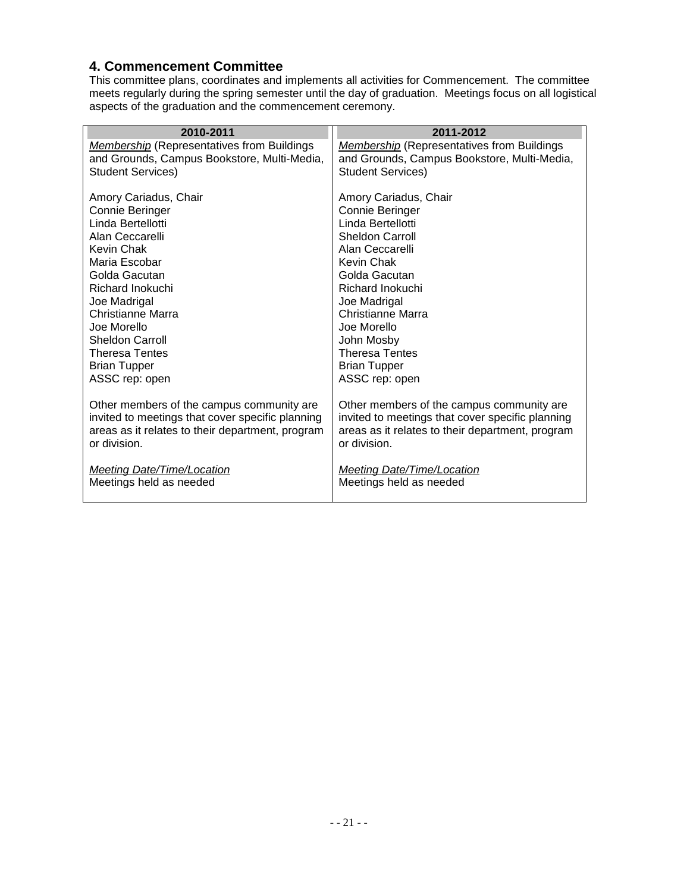#### <span id="page-20-0"></span>**4. Commencement Committee**

This committee plans, coordinates and implements all activities for Commencement. The committee meets regularly during the spring semester until the day of graduation. Meetings focus on all logistical aspects of the graduation and the commencement ceremony.

| 2010-2011                                                                                                                                         | 2011-2012                                                                                                                                         |
|---------------------------------------------------------------------------------------------------------------------------------------------------|---------------------------------------------------------------------------------------------------------------------------------------------------|
| <b>Membership</b> (Representatives from Buildings                                                                                                 | <b>Membership</b> (Representatives from Buildings                                                                                                 |
| and Grounds, Campus Bookstore, Multi-Media,                                                                                                       | and Grounds, Campus Bookstore, Multi-Media,                                                                                                       |
| <b>Student Services)</b>                                                                                                                          | <b>Student Services)</b>                                                                                                                          |
| Amory Cariadus, Chair                                                                                                                             | Amory Cariadus, Chair                                                                                                                             |
| Connie Beringer                                                                                                                                   | Connie Beringer                                                                                                                                   |
| Linda Bertellotti                                                                                                                                 | Linda Bertellotti                                                                                                                                 |
| Alan Ceccarelli                                                                                                                                   | <b>Sheldon Carroll</b>                                                                                                                            |
| Kevin Chak                                                                                                                                        | Alan Ceccarelli                                                                                                                                   |
| Maria Escobar                                                                                                                                     | Kevin Chak                                                                                                                                        |
| Golda Gacutan                                                                                                                                     | Golda Gacutan                                                                                                                                     |
| Richard Inokuchi                                                                                                                                  | Richard Inokuchi                                                                                                                                  |
| Joe Madrigal                                                                                                                                      | Joe Madrigal                                                                                                                                      |
| Christianne Marra                                                                                                                                 | Christianne Marra                                                                                                                                 |
| Joe Morello                                                                                                                                       | Joe Morello                                                                                                                                       |
| <b>Sheldon Carroll</b>                                                                                                                            | John Mosby                                                                                                                                        |
| <b>Theresa Tentes</b>                                                                                                                             | <b>Theresa Tentes</b>                                                                                                                             |
| <b>Brian Tupper</b>                                                                                                                               | <b>Brian Tupper</b>                                                                                                                               |
| ASSC rep: open                                                                                                                                    | ASSC rep: open                                                                                                                                    |
| Other members of the campus community are<br>invited to meetings that cover specific planning<br>areas as it relates to their department, program | Other members of the campus community are<br>invited to meetings that cover specific planning<br>areas as it relates to their department, program |
| or division.                                                                                                                                      | or division.                                                                                                                                      |
| Meeting Date/Time/Location<br>Meetings held as needed                                                                                             | Meeting Date/Time/Location<br>Meetings held as needed                                                                                             |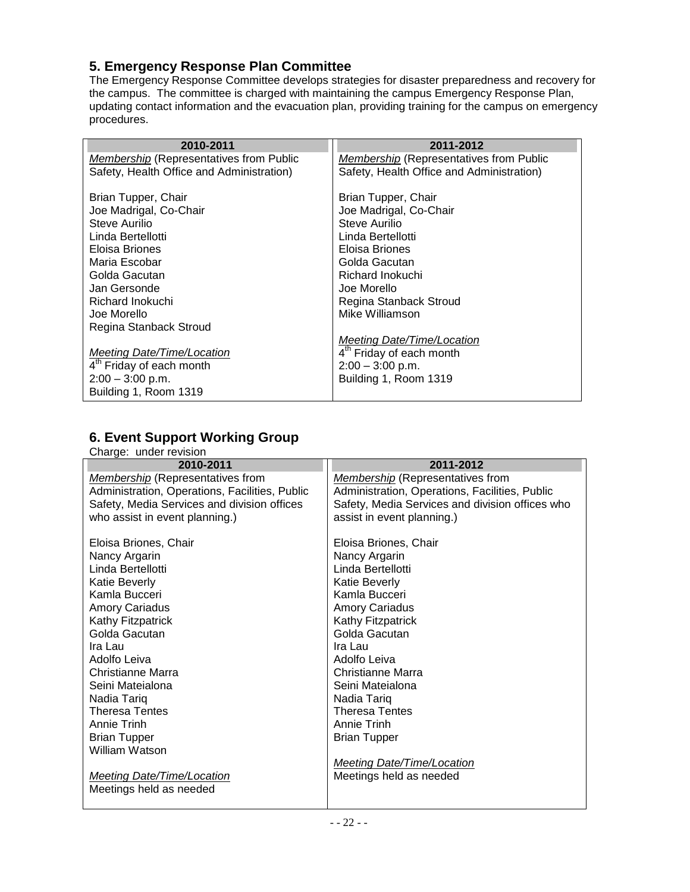## <span id="page-21-0"></span>**5. Emergency Response Plan Committee**

The Emergency Response Committee develops strategies for disaster preparedness and recovery for the campus. The committee is charged with maintaining the campus Emergency Response Plan, updating contact information and the evacuation plan, providing training for the campus on emergency procedures.

| 2010-2011                                      | 2011-2012                                      |
|------------------------------------------------|------------------------------------------------|
| <b>Membership (Representatives from Public</b> | <b>Membership (Representatives from Public</b> |
| Safety, Health Office and Administration)      | Safety, Health Office and Administration)      |
|                                                |                                                |
| Brian Tupper, Chair                            | Brian Tupper, Chair                            |
| Joe Madrigal, Co-Chair                         | Joe Madrigal, Co-Chair                         |
| Steve Aurilio                                  | <b>Steve Aurilio</b>                           |
| Linda Bertellotti                              | Linda Bertellotti                              |
| Eloisa Briones                                 | Eloisa Briones                                 |
| Maria Escobar                                  | Golda Gacutan                                  |
| Golda Gacutan                                  | Richard Inokuchi                               |
| Jan Gersonde                                   | Joe Morello                                    |
| Richard Inokuchi                               | Regina Stanback Stroud                         |
| Joe Morello                                    | Mike Williamson                                |
| Regina Stanback Stroud                         |                                                |
|                                                | Meeting Date/Time/Location                     |
| <b>Meeting Date/Time/Location</b>              | 4 <sup>th</sup> Friday of each month           |
| 4 <sup>th</sup> Friday of each month           | $2:00 - 3:00$ p.m.                             |
| $2:00 - 3:00$ p.m.                             | Building 1, Room 1319                          |
| Building 1, Room 1319                          |                                                |
|                                                |                                                |

## <span id="page-21-1"></span>**6. Event Support Working Group**

|                        | . . |
|------------------------|-----|
| Charge: under revision |     |

| 2010-2011                                      | 2011-2012                                       |
|------------------------------------------------|-------------------------------------------------|
| Membership (Representatives from               | <b>Membership</b> (Representatives from         |
| Administration, Operations, Facilities, Public | Administration, Operations, Facilities, Public  |
| Safety, Media Services and division offices    | Safety, Media Services and division offices who |
| who assist in event planning.)                 | assist in event planning.)                      |
|                                                |                                                 |
| Eloisa Briones, Chair                          | Eloisa Briones, Chair                           |
| Nancy Argarin                                  | Nancy Argarin                                   |
| Linda Bertellotti                              | Linda Bertellotti                               |
| <b>Katie Beverly</b>                           | <b>Katie Beverly</b>                            |
| Kamla Bucceri                                  | Kamla Bucceri                                   |
| <b>Amory Cariadus</b>                          | <b>Amory Cariadus</b>                           |
| Kathy Fitzpatrick                              | <b>Kathy Fitzpatrick</b>                        |
| Golda Gacutan                                  | Golda Gacutan                                   |
| Ira Lau                                        | Ira Lau                                         |
| Adolfo Leiva                                   | Adolfo Leiva                                    |
| Christianne Marra                              | Christianne Marra                               |
| Seini Mateialona                               | Seini Mateialona                                |
| Nadia Tariq                                    | Nadia Tariq                                     |
| <b>Theresa Tentes</b>                          | <b>Theresa Tentes</b>                           |
| Annie Trinh                                    | Annie Trinh                                     |
| <b>Brian Tupper</b>                            | <b>Brian Tupper</b>                             |
| William Watson                                 |                                                 |
|                                                | <b>Meeting Date/Time/Location</b>               |
| <b>Meeting Date/Time/Location</b>              | Meetings held as needed                         |
| Meetings held as needed                        |                                                 |
|                                                |                                                 |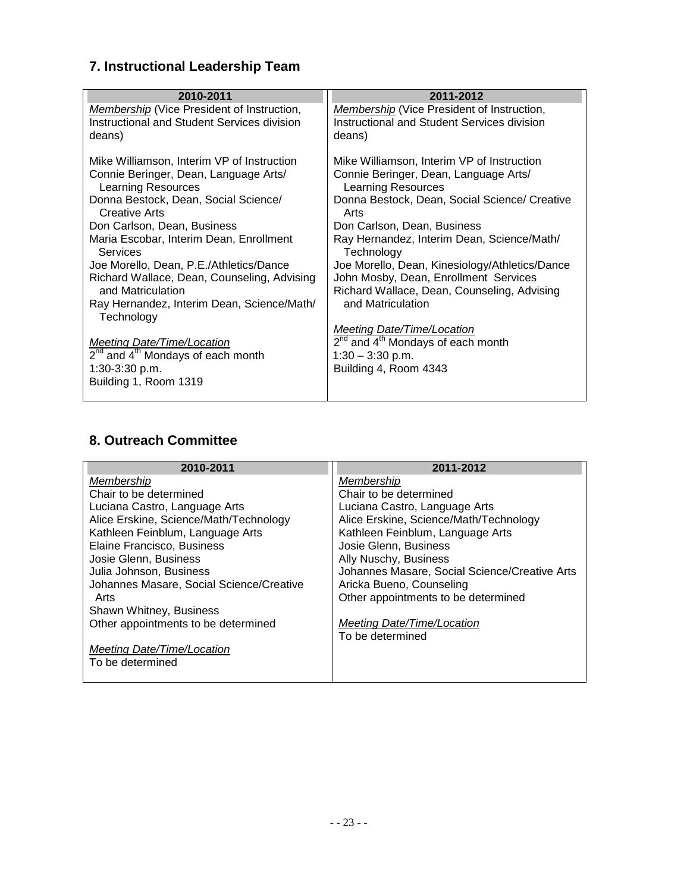## <span id="page-22-0"></span>**7. Instructional Leadership Team**

| 2010-2011<br>Membership (Vice President of Instruction,                                                                                                                                                                                                                                                                                                                                                                                                                                                                                                                             | 2011-2012                                                                                                                                                                                                                                                                                                                                                                                                                                                                                                                                                      |
|-------------------------------------------------------------------------------------------------------------------------------------------------------------------------------------------------------------------------------------------------------------------------------------------------------------------------------------------------------------------------------------------------------------------------------------------------------------------------------------------------------------------------------------------------------------------------------------|----------------------------------------------------------------------------------------------------------------------------------------------------------------------------------------------------------------------------------------------------------------------------------------------------------------------------------------------------------------------------------------------------------------------------------------------------------------------------------------------------------------------------------------------------------------|
| Instructional and Student Services division<br>deans)<br>deans)                                                                                                                                                                                                                                                                                                                                                                                                                                                                                                                     | <b>Membership</b> (Vice President of Instruction,<br>Instructional and Student Services division                                                                                                                                                                                                                                                                                                                                                                                                                                                               |
| Mike Williamson, Interim VP of Instruction<br>Connie Beringer, Dean, Language Arts/<br>Learning Resources<br>Donna Bestock, Dean, Social Science/<br>Creative Arts<br>Arts<br>Don Carlson, Dean, Business<br>Maria Escobar, Interim Dean, Enrollment<br>Services<br>Joe Morello, Dean, P.E./Athletics/Dance<br>Richard Wallace, Dean, Counseling, Advising<br>and Matriculation<br>Ray Hernandez, Interim Dean, Science/Math/<br>Technology<br>Meeting Date/Time/Location<br>2 <sup>nd</sup> and 4 <sup>th</sup> Mondays of each month<br>$1:30-3:30$ p.m.<br>Building 1, Room 1319 | Mike Williamson, Interim VP of Instruction<br>Connie Beringer, Dean, Language Arts/<br><b>Learning Resources</b><br>Donna Bestock, Dean, Social Science/ Creative<br>Don Carlson, Dean, Business<br>Ray Hernandez, Interim Dean, Science/Math/<br>Technology<br>Joe Morello, Dean, Kinesiology/Athletics/Dance<br>John Mosby, Dean, Enrollment Services<br>Richard Wallace, Dean, Counseling, Advising<br>and Matriculation<br><b>Meeting Date/Time/Location</b><br>$2^{nd}$ and $4^{th}$ Mondays of each month<br>$1:30 - 3:30$ p.m.<br>Building 4, Room 4343 |

## <span id="page-22-1"></span>**8. Outreach Committee**

| 2010-2011                                | 2011-2012                                     |
|------------------------------------------|-----------------------------------------------|
| Membership                               | Membership                                    |
| Chair to be determined                   | Chair to be determined                        |
| Luciana Castro, Language Arts            | Luciana Castro, Language Arts                 |
| Alice Erskine, Science/Math/Technology   | Alice Erskine, Science/Math/Technology        |
| Kathleen Feinblum, Language Arts         | Kathleen Feinblum, Language Arts              |
| Elaine Francisco, Business               | Josie Glenn, Business                         |
| Josie Glenn, Business                    | Ally Nuschy, Business                         |
| Julia Johnson, Business                  | Johannes Masare, Social Science/Creative Arts |
| Johannes Masare, Social Science/Creative | Aricka Bueno, Counseling                      |
| Arts                                     | Other appointments to be determined           |
| Shawn Whitney, Business                  |                                               |
| Other appointments to be determined      | Meeting Date/Time/Location                    |
|                                          | To be determined                              |
| Meeting Date/Time/Location               |                                               |
| To be determined                         |                                               |
|                                          |                                               |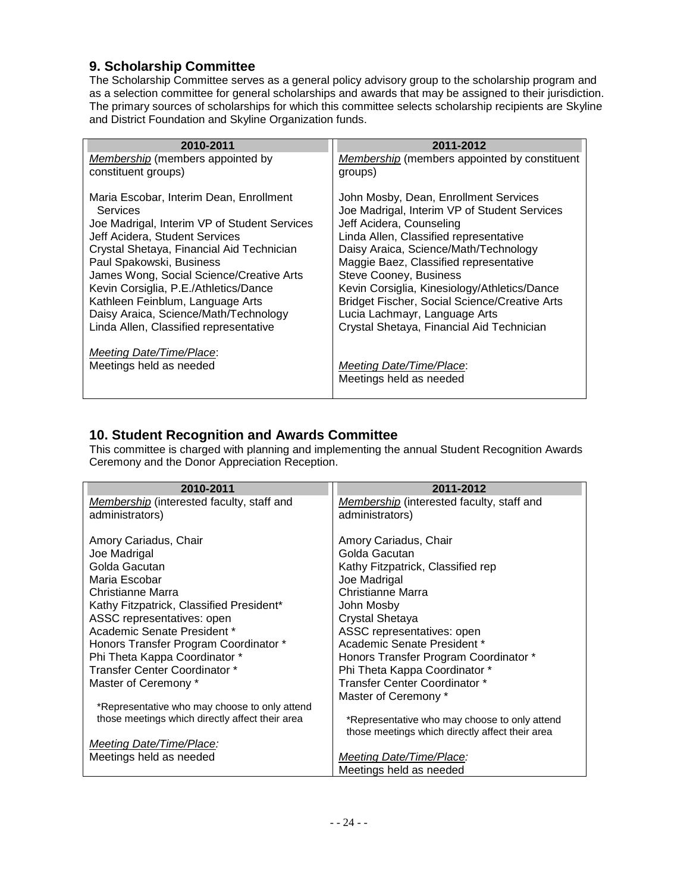### <span id="page-23-0"></span>**9. Scholarship Committee**

The Scholarship Committee serves as a general policy advisory group to the scholarship program and as a selection committee for general scholarships and awards that may be assigned to their jurisdiction. The primary sources of scholarships for which this committee selects scholarship recipients are Skyline and District Foundation and Skyline Organization funds.

| 2010-2011                                    | 2011-2012                                            |
|----------------------------------------------|------------------------------------------------------|
| Membership (members appointed by             | Membership (members appointed by constituent         |
| constituent groups)                          | groups)                                              |
| Maria Escobar, Interim Dean, Enrollment      | John Mosby, Dean, Enrollment Services                |
| Services                                     | Joe Madrigal, Interim VP of Student Services         |
| Joe Madrigal, Interim VP of Student Services | Jeff Acidera, Counseling                             |
| Jeff Acidera, Student Services               | Linda Allen, Classified representative               |
| Crystal Shetaya, Financial Aid Technician    | Daisy Araica, Science/Math/Technology                |
| Paul Spakowski, Business                     | Maggie Baez, Classified representative               |
| James Wong, Social Science/Creative Arts     | Steve Cooney, Business                               |
| Kevin Corsiglia, P.E./Athletics/Dance        | Kevin Corsiglia, Kinesiology/Athletics/Dance         |
| Kathleen Feinblum, Language Arts             | <b>Bridget Fischer, Social Science/Creative Arts</b> |
| Daisy Araica, Science/Math/Technology        | Lucia Lachmayr, Language Arts                        |
| Linda Allen, Classified representative       | Crystal Shetaya, Financial Aid Technician            |
| <b>Meeting Date/Time/Place:</b>              |                                                      |
| Meetings held as needed                      | Meeting Date/Time/Place:                             |
|                                              | Meetings held as needed                              |
|                                              |                                                      |

#### <span id="page-23-1"></span>**10. Student Recognition and Awards Committee**

This committee is charged with planning and implementing the annual Student Recognition Awards Ceremony and the Donor Appreciation Reception.

| 2010-2011                                       | 2011-2012                                       |
|-------------------------------------------------|-------------------------------------------------|
| Membership (interested faculty, staff and       | Membership (interested faculty, staff and       |
| administrators)                                 | administrators)                                 |
|                                                 |                                                 |
| Amory Cariadus, Chair                           | Amory Cariadus, Chair                           |
| Joe Madrigal                                    | Golda Gacutan                                   |
| Golda Gacutan                                   | Kathy Fitzpatrick, Classified rep               |
| Maria Escobar                                   | Joe Madrigal                                    |
| Christianne Marra                               | Christianne Marra                               |
| Kathy Fitzpatrick, Classified President*        | John Mosby                                      |
| ASSC representatives: open                      | Crystal Shetaya                                 |
| Academic Senate President *                     | ASSC representatives: open                      |
| Honors Transfer Program Coordinator *           | Academic Senate President *                     |
| Phi Theta Kappa Coordinator *                   | Honors Transfer Program Coordinator *           |
| Transfer Center Coordinator *                   | Phi Theta Kappa Coordinator *                   |
| Master of Ceremony *                            | Transfer Center Coordinator *                   |
|                                                 | Master of Ceremony *                            |
| *Representative who may choose to only attend   |                                                 |
| those meetings which directly affect their area | *Representative who may choose to only attend   |
|                                                 | those meetings which directly affect their area |
| <b>Meeting Date/Time/Place:</b>                 |                                                 |
| Meetings held as needed                         | Meeting Date/Time/Place:                        |
|                                                 | Meetings held as needed                         |